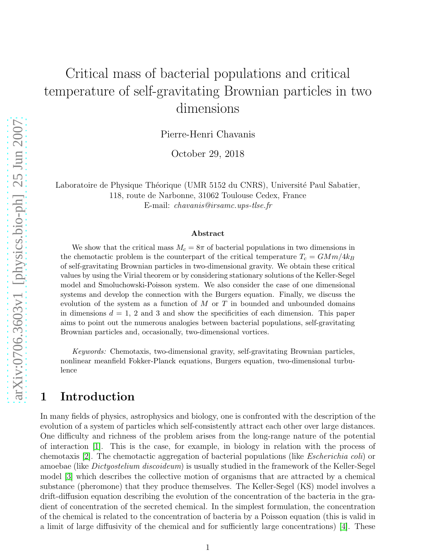# Critical mass of bacterial populations and critical temperature of self-gravitating Brownian particles in two dimensions

Pierre-Henri Chavanis

October 29, 2018

Laboratoire de Physique Théorique (UMR 5152 du CNRS), Université Paul Sabatier, 118, route de Narbonne, 31062 Toulouse Cedex, France E-mail: chavanis@irsamc.ups-tlse.fr

#### Abstract

We show that the critical mass  $M_c = 8\pi$  of bacterial populations in two dimensions in the chemotactic problem is the counterpart of the critical temperature  $T_c = GMm/4k_B$ of self-gravitating Brownian particles in two-dimensional gravity. We obtain these critical values by using the Virial theorem or by considering stationary solutions of the Keller-Segel model and Smoluchowski-Poisson system. We also consider the case of one dimensional systems and develop the connection with the Burgers equation. Finally, we discuss the evolution of the system as a function of  $M$  or  $T$  in bounded and unbounded domains in dimensions  $d = 1$ , 2 and 3 and show the specificities of each dimension. This paper aims to point out the numerous analogies between bacterial populations, self-gravitating Brownian particles and, occasionally, two-dimensional vortices.

Keywords: Chemotaxis, two-dimensional gravity, self-gravitating Brownian particles, nonlinear meanfield Fokker-Planck equations, Burgers equation, two-dimensional turbulence

## 1 Introduction

In many fields of physics, astrophysics and biology, one is confronted with the description of the evolution of a system of particles which self-consistently attract each other over large distances. One difficulty and richness of the problem arises from the long-range nature of the potential of interaction [\[1\]](#page-23-0). This is the case, for example, in biology in relation with the process of chemotaxis [\[2\]](#page-23-1). The chemotactic aggregation of bacterial populations (like Escherichia coli) or amoebae (like Dictyostelium discoideum) is usually studied in the framework of the Keller-Segel model [\[3\]](#page-23-2) which describes the collective motion of organisms that are attracted by a chemical substance (pheromone) that they produce themselves. The Keller-Segel (KS) model involves a drift-diffusion equation describing the evolution of the concentration of the bacteria in the gradient of concentration of the secreted chemical. In the simplest formulation, the concentration of the chemical is related to the concentration of bacteria by a Poisson equation (this is valid in a limit of large diffusivity of the chemical and for sufficiently large concentrations) [\[4\]](#page-23-3). These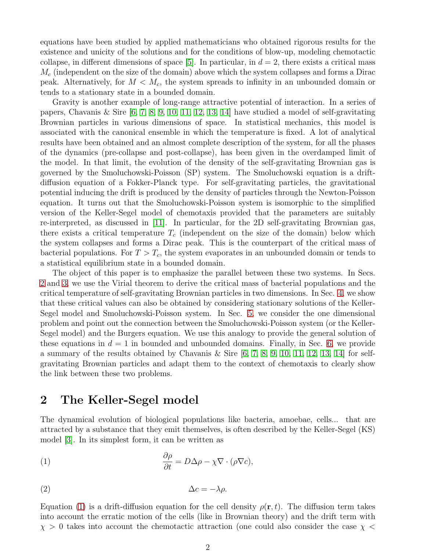equations have been studied by applied mathematicians who obtained rigorous results for the existence and unicity of the solutions and for the conditions of blow-up, modeling chemotactic collapse, in different dimensions of space [\[5\]](#page-23-4). In particular, in  $d = 2$ , there exists a critical mass  $M_c$  (independent on the size of the domain) above which the system collapses and forms a Dirac peak. Alternatively, for  $M < M_c$ , the system spreads to infinity in an unbounded domain or tends to a stationary state in a bounded domain.

Gravity is another example of long-range attractive potential of interaction. In a series of papers, Chavanis & Sire [\[6,](#page-23-5) [7,](#page-23-6) [8,](#page-23-7) [9,](#page-23-8) [10,](#page-23-9) [11,](#page-23-10) [12,](#page-23-11) [13,](#page-23-12) [14\]](#page-23-13) have studied a model of self-gravitating Brownian particles in various dimensions of space. In statistical mechanics, this model is associated with the canonical ensemble in which the temperature is fixed. A lot of analytical results have been obtained and an almost complete description of the system, for all the phases of the dynamics (pre-collapse and post-collapse), has been given in the overdamped limit of the model. In that limit, the evolution of the density of the self-gravitating Brownian gas is governed by the Smoluchowski-Poisson (SP) system. The Smoluchowski equation is a driftdiffusion equation of a Fokker-Planck type. For self-gravitating particles, the gravitational potential inducing the drift is produced by the density of particles through the Newton-Poisson equation. It turns out that the Smoluchowski-Poisson system is isomorphic to the simplified version of the Keller-Segel model of chemotaxis provided that the parameters are suitably re-interpreted, as discussed in [\[11\]](#page-23-10). In particular, for the 2D self-gravitating Brownian gas, there exists a critical temperature  $T_c$  (independent on the size of the domain) below which the system collapses and forms a Dirac peak. This is the counterpart of the critical mass of bacterial populations. For  $T > T_c$ , the system evaporates in an unbounded domain or tends to a statistical equilibrium state in a bounded domain.

The object of this paper is to emphasize the parallel between these two systems. In Secs. [2](#page-1-0) and [3,](#page-4-0) we use the Virial theorem to derive the critical mass of bacterial populations and the critical temperature of self-gravitating Brownian particles in two dimensions. In Sec. [4,](#page-6-0) we show that these critical values can also be obtained by considering stationary solutions of the Keller-Segel model and Smoluchowski-Poisson system. In Sec. [5,](#page-10-0) we consider the one dimensional problem and point out the connection between the Smoluchowski-Poisson system (or the Keller-Segel model) and the Burgers equation. We use this analogy to provide the general solution of these equations in  $d = 1$  in bounded and unbounded domains. Finally, in Sec. [6,](#page-15-0) we provide a summary of the results obtained by Chavanis & Sire  $[6, 7, 8, 9, 10, 11, 12, 13, 14]$  $[6, 7, 8, 9, 10, 11, 12, 13, 14]$  $[6, 7, 8, 9, 10, 11, 12, 13, 14]$  $[6, 7, 8, 9, 10, 11, 12, 13, 14]$  $[6, 7, 8, 9, 10, 11, 12, 13, 14]$  $[6, 7, 8, 9, 10, 11, 12, 13, 14]$  $[6, 7, 8, 9, 10, 11, 12, 13, 14]$  $[6, 7, 8, 9, 10, 11, 12, 13, 14]$  $[6, 7, 8, 9, 10, 11, 12, 13, 14]$  for selfgravitating Brownian particles and adapt them to the context of chemotaxis to clearly show the link between these two problems.

## <span id="page-1-0"></span>2 The Keller-Segel model

The dynamical evolution of biological populations like bacteria, amoebae, cells... that are attracted by a substance that they emit themselves, is often described by the Keller-Segel (KS) model [\[3\]](#page-23-2). In its simplest form, it can be written as

<span id="page-1-1"></span>(1) 
$$
\frac{\partial \rho}{\partial t} = D\Delta \rho - \chi \nabla \cdot (\rho \nabla c),
$$

<span id="page-1-2"></span>
$$
\Delta c = -\lambda \rho.
$$

Equation [\(1\)](#page-1-1) is a drift-diffusion equation for the cell density  $\rho(\mathbf{r},t)$ . The diffusion term takes into account the erratic motion of the cells (like in Brownian theory) and the drift term with  $\chi > 0$  takes into account the chemotactic attraction (one could also consider the case  $\chi <$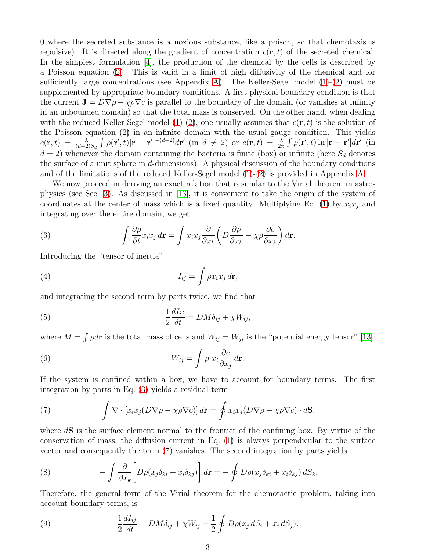0 where the secreted substance is a noxious substance, like a poison, so that chemotaxis is repulsive). It is directed along the gradient of concentration  $c(\mathbf{r}, t)$  of the secreted chemical. In the simplest formulation [\[4\]](#page-23-3), the production of the chemical by the cells is described by a Poisson equation [\(2\)](#page-1-2). This is valid in a limit of high diffusivity of the chemical and for sufficiently large concentrations (see Appendix [A\)](#page-18-0). The Keller-Segel model  $(1)-(2)$  $(1)-(2)$  must be supplemented by appropriate boundary conditions. A first physical boundary condition is that the current  $\mathbf{J} = D\nabla \rho - \chi \rho \nabla c$  is parallel to the boundary of the domain (or vanishes at infinity in an unbounded domain) so that the total mass is conserved. On the other hand, when dealing with the reduced Keller-Segel model  $(1)-(2)$  $(1)-(2)$ , one usually assumes that  $c(\mathbf{r}, t)$  is the solution of the Poisson equation [\(2\)](#page-1-2) in an infinite domain with the usual gauge condition. This yields  $c(\mathbf{r},t) = \frac{\lambda}{(d-2)S_d} \int \rho(\mathbf{r}',t) |\mathbf{r}-\mathbf{r}'|^{-(d-2)} d\mathbf{r}'$  (in  $d \neq 2$ ) or  $c(\mathbf{r},t) = \frac{\lambda}{2\pi} \int \rho(\mathbf{r}',t) \ln |\mathbf{r}-\mathbf{r}'| d\mathbf{r}'$  (in  $d = 2$ ) whenever the domain containing the bacteria is finite (box) or infinite (here  $S_d$  denotes the surface of a unit sphere in  $d$ -dimensions). A physical discussion of the boundary conditions and of the limitations of the reduced Keller-Segel model [\(1\)](#page-1-1)-[\(2\)](#page-1-2) is provided in Appendix [A.](#page-18-0)

We now proceed in deriving an exact relation that is similar to the Virial theorem in astrophysics (see Sec. [3\)](#page-4-0). As discussed in [\[13\]](#page-23-12), it is convenient to take the origin of the system of coordinates at the center of mass which is a fixed quantity. Multiplying Eq. [\(1\)](#page-1-1) by  $x_ix_j$  and integrating over the entire domain, we get

<span id="page-2-0"></span>(3) 
$$
\int \frac{\partial \rho}{\partial t} x_i x_j d\mathbf{r} = \int x_i x_j \frac{\partial}{\partial x_k} \left( D \frac{\partial \rho}{\partial x_k} - \chi \rho \frac{\partial c}{\partial x_k} \right) d\mathbf{r}.
$$

Introducing the "tensor of inertia"

(4) 
$$
I_{ij} = \int \rho x_i x_j \, d\mathbf{r},
$$

and integrating the second term by parts twice, we find that

(5) 
$$
\frac{1}{2}\frac{dI_{ij}}{dt} = DM\delta_{ij} + \chi W_{ij},
$$

where  $M = \int \rho d\mathbf{r}$  is the total mass of cells and  $W_{ij} = W_{ji}$  is the "potential energy tensor" [\[13\]](#page-23-12):

(6) 
$$
W_{ij} = \int \rho \ x_i \frac{\partial c}{\partial x_j} d\mathbf{r}.
$$

If the system is confined within a box, we have to account for boundary terms. The first integration by parts in Eq. [\(3\)](#page-2-0) yields a residual term

<span id="page-2-1"></span>(7) 
$$
\int \nabla \cdot [x_i x_j (D \nabla \rho - \chi \rho \nabla c)] d\mathbf{r} = \oint x_i x_j (D \nabla \rho - \chi \rho \nabla c) \cdot d\mathbf{S},
$$

where  $dS$  is the surface element normal to the frontier of the confining box. By virtue of the conservation of mass, the diffusion current in Eq. [\(1\)](#page-1-1) is always perpendicular to the surface vector and consequently the term [\(7\)](#page-2-1) vanishes. The second integration by parts yields

(8) 
$$
- \int \frac{\partial}{\partial x_k} \left[ D\rho(x_j \delta_{ki} + x_i \delta_{kj}) \right] d\mathbf{r} = - \oint D\rho(x_j \delta_{ki} + x_i \delta_{kj}) dS_k.
$$

Therefore, the general form of the Virial theorem for the chemotactic problem, taking into account boundary terms, is

(9) 
$$
\frac{1}{2}\frac{dI_{ij}}{dt} = DM\delta_{ij} + \chi W_{ij} - \frac{1}{2}\oint D\rho(x_j dS_i + x_i dS_j).
$$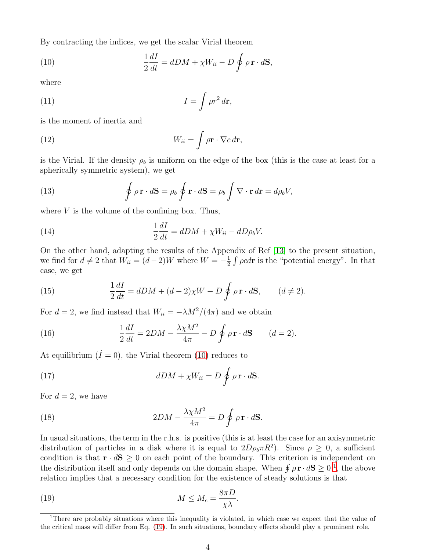By contracting the indices, we get the scalar Virial theorem

<span id="page-3-0"></span>(10) 
$$
\frac{1}{2}\frac{dI}{dt} = dDM + \chi W_{ii} - D \oint \rho \mathbf{r} \cdot d\mathbf{S},
$$

where

(11) 
$$
I = \int \rho r^2 d\mathbf{r},
$$

is the moment of inertia and

(12) 
$$
W_{ii} = \int \rho \mathbf{r} \cdot \nabla c \, d\mathbf{r},
$$

is the Virial. If the density  $\rho_b$  is uniform on the edge of the box (this is the case at least for a spherically symmetric system), we get

(13) 
$$
\oint \rho \mathbf{r} \cdot d\mathbf{S} = \rho_b \oint \mathbf{r} \cdot d\mathbf{S} = \rho_b \int \nabla \cdot \mathbf{r} d\mathbf{r} = d\rho_b V,
$$

where  $V$  is the volume of the confining box. Thus,

(14) 
$$
\frac{1}{2}\frac{dI}{dt} = dDM + \chi W_{ii} - dD\rho_b V.
$$

On the other hand, adapting the results of the Appendix of Ref [\[13\]](#page-23-12) to the present situation, we find for  $d \neq 2$  that  $W_{ii} = (d-2)W$  where  $W = -\frac{1}{2}$  $\frac{1}{2} \int \rho c d\mathbf{r}$  is the "potential energy". In that case, we get

(15) 
$$
\frac{1}{2}\frac{dI}{dt} = dDM + (d-2)\chi W - D \oint \rho \mathbf{r} \cdot d\mathbf{S}, \qquad (d \neq 2).
$$

For  $d = 2$ , we find instead that  $W_{ii} = -\lambda M^2/(4\pi)$  and we obtain

<span id="page-3-3"></span>(16) 
$$
\frac{1}{2}\frac{dI}{dt} = 2DM - \frac{\lambda \chi M^2}{4\pi} - D \oint \rho \mathbf{r} \cdot d\mathbf{S} \qquad (d = 2).
$$

At equilibrium  $(I = 0)$ , the Virial theorem [\(10\)](#page-3-0) reduces to

(17) 
$$
dDM + \chi W_{ii} = D \oint \rho \mathbf{r} \cdot d\mathbf{S}.
$$

For  $d = 2$ , we have

(18) 
$$
2DM - \frac{\lambda \chi M^2}{4\pi} = D \oint \rho \mathbf{r} \cdot d\mathbf{S}.
$$

In usual situations, the term in the r.h.s. is positive (this is at least the case for an axisymmetric distribution of particles in a disk where it is equal to  $2D\rho_b \pi R^2$ ). Since  $\rho \geq 0$ , a sufficient condition is that  $\mathbf{r} \cdot d\mathbf{S} \geq 0$  on each point of the boundary. This criterion is independent on the distribution itself and only depends on the domain shape. When  $\oint \rho \mathbf{r} \cdot d\mathbf{S} \geq 0^{-1}$  $\oint \rho \mathbf{r} \cdot d\mathbf{S} \geq 0^{-1}$  $\oint \rho \mathbf{r} \cdot d\mathbf{S} \geq 0^{-1}$ , the above relation implies that a necessary condition for the existence of steady solutions is that

<span id="page-3-2"></span>(19) 
$$
M \leq M_c = \frac{8\pi D}{\chi\lambda}.
$$

<span id="page-3-1"></span><sup>&</sup>lt;sup>1</sup>There are probably situations where this inequality is violated, in which case we expect that the value of the critical mass will differ from Eq. [\(19\)](#page-3-2). In such situations, boundary effects should play a prominent role.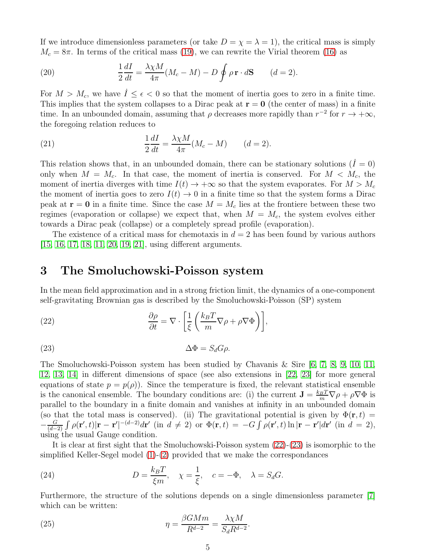If we introduce dimensionless parameters (or take  $D = \chi = \lambda = 1$ ), the critical mass is simply  $M_c = 8\pi$ . In terms of the critical mass [\(19\)](#page-3-2), we can rewrite the Virial theorem [\(16\)](#page-3-3) as

<span id="page-4-4"></span>(20) 
$$
\frac{1}{2}\frac{dI}{dt} = \frac{\lambda \chi M}{4\pi} (M_c - M) - D \oint \rho \mathbf{r} \cdot d\mathbf{S} \qquad (d = 2).
$$

For  $M > M_c$ , we have  $\dot{I} \leq \epsilon < 0$  so that the moment of inertia goes to zero in a finite time. This implies that the system collapses to a Dirac peak at  $r = 0$  (the center of mass) in a finite time. In an unbounded domain, assuming that  $\rho$  decreases more rapidly than  $r^{-2}$  for  $r \to +\infty$ , the foregoing relation reduces to

(21) 
$$
\frac{1}{2}\frac{dI}{dt} = \frac{\lambda \chi M}{4\pi} (M_c - M) \qquad (d = 2).
$$

This relation shows that, in an unbounded domain, there can be stationary solutions  $(I = 0)$ only when  $M = M_c$ . In that case, the moment of inertia is conserved. For  $M < M_c$ , the moment of inertia diverges with time  $I(t) \to +\infty$  so that the system evaporates. For  $M > M_c$ the moment of inertia goes to zero  $I(t) \rightarrow 0$  in a finite time so that the system forms a Dirac peak at  $\mathbf{r} = \mathbf{0}$  in a finite time. Since the case  $M = M_c$  lies at the frontiere between these two regimes (evaporation or collapse) we expect that, when  $M = M_c$ , the system evolves either towards a Dirac peak (collapse) or a completely spread profile (evaporation).

The existence of a critical mass for chemotaxis in  $d = 2$  has been found by various authors [\[15,](#page-23-14) [16,](#page-23-15) [17,](#page-23-16) [18,](#page-23-17) [11,](#page-23-10) [20,](#page-23-18) [19,](#page-23-19) [21\]](#page-23-20), using different arguments.

### <span id="page-4-0"></span>3 The Smoluchowski-Poisson system

In the mean field approximation and in a strong friction limit, the dynamics of a one-component self-gravitating Brownian gas is described by the Smoluchowski-Poisson (SP) system

<span id="page-4-1"></span>(22) 
$$
\frac{\partial \rho}{\partial t} = \nabla \cdot \left[ \frac{1}{\xi} \left( \frac{k_B T}{m} \nabla \rho + \rho \nabla \Phi \right) \right],
$$

<span id="page-4-2"></span>
$$
\Delta \Phi = S_d G \rho.
$$

The Smoluchowski-Poisson system has been studied by Chavanis & Sire [\[6,](#page-23-5) [7,](#page-23-6) [8,](#page-23-7) [9,](#page-23-8) [10,](#page-23-9) [11,](#page-23-10) [12,](#page-23-11) [13,](#page-23-12) [14\]](#page-23-13) in different dimensions of space (see also extensions in [\[22,](#page-23-21) [23\]](#page-23-22) for more general equations of state  $p = p(\rho)$ . Since the temperature is fixed, the relevant statistical ensemble is the canonical ensemble. The boundary conditions are: (i) the current  $\mathbf{J} = \frac{k_B T}{m} \nabla \rho + \rho \nabla \Phi$  is parallel to the boundary in a finite domain and vanishes at infinity in an unbounded domain (so that the total mass is conserved). (ii) The gravitational potential is given by  $\Phi(\mathbf{r},t)$  =  $-\frac{G}{(d \frac{G}{(d-2)}\int \rho(\mathbf{r}',t)|\mathbf{r}-\mathbf{r}'|^{-(d-2)}d\mathbf{r}'$  (in  $d \neq 2$ ) or  $\Phi(\mathbf{r},t) = -G\int \rho(\mathbf{r}',t)\ln|\mathbf{r}-\mathbf{r}'|d\mathbf{r}'$  (in  $d = 2$ ), using the usual Gauge condition.

It is clear at first sight that the Smoluchowski-Poisson system [\(22\)](#page-4-1)-[\(23\)](#page-4-2) is isomorphic to the simplified Keller-Segel model [\(1\)](#page-1-1)-[\(2\)](#page-1-2) provided that we make the correspondances

<span id="page-4-3"></span>(24) 
$$
D = \frac{k_B T}{\xi m}, \quad \chi = \frac{1}{\xi}, \quad c = -\Phi, \quad \lambda = S_d G.
$$

Furthermore, the structure of the solutions depends on a single dimensionless parameter [\[7\]](#page-23-6) which can be written:

(25) 
$$
\eta = \frac{\beta G M m}{R^{d-2}} = \frac{\lambda \chi M}{S_d R^{d-2}}.
$$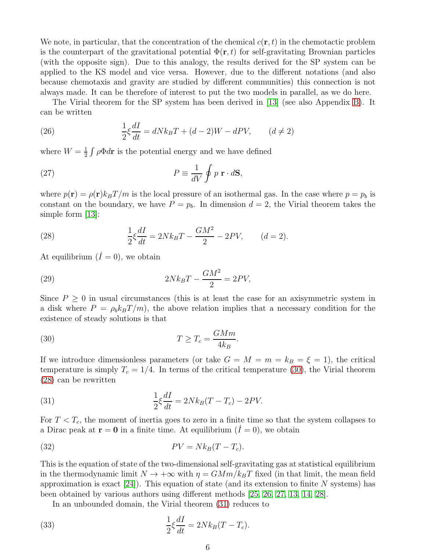We note, in particular, that the concentration of the chemical  $c(\mathbf{r},t)$  in the chemotactic problem is the counterpart of the gravitational potential  $\Phi(\mathbf{r},t)$  for self-gravitating Brownian particles (with the opposite sign). Due to this analogy, the results derived for the SP system can be applied to the KS model and vice versa. However, due to the different notations (and also because chemotaxis and gravity are studied by different communities) this connection is not always made. It can be therefore of interest to put the two models in parallel, as we do here.

The Virial theorem for the SP system has been derived in [\[13\]](#page-23-12) (see also Appendix [B\)](#page-20-0). It can be written

<span id="page-5-4"></span>(26) 
$$
\frac{1}{2}\xi \frac{dI}{dt} = dNk_BT + (d-2)W - dPV, \qquad (d \neq 2)
$$

where  $W=\frac{1}{2}$  $\frac{1}{2} \int \rho \Phi d\mathbf{r}$  is the potential energy and we have defined

(27) 
$$
P \equiv \frac{1}{dV} \oint p \mathbf{r} \cdot d\mathbf{S},
$$

where  $p(\mathbf{r}) = \rho(\mathbf{r})k_BT/m$  is the local pressure of an isothermal gas. In the case where  $p = p_b$  is constant on the boundary, we have  $P = p_b$ . In dimension  $d = 2$ , the Virial theorem takes the simple form  $|13|$ :

<span id="page-5-1"></span>(28) 
$$
\frac{1}{2}\xi \frac{dI}{dt} = 2Nk_BT - \frac{GM^2}{2} - 2PV, \qquad (d = 2).
$$

At equilibrium  $(I = 0)$ , we obtain

$$
(29) \t\t 2Nk_BT - \frac{GM^2}{2} = 2PV,
$$

Since  $P \geq 0$  in usual circumstances (this is at least the case for an axisymmetric system in a disk where  $P = \rho_b k_B T/m$ , the above relation implies that a necessary condition for the existence of steady solutions is that

<span id="page-5-0"></span>(30) 
$$
T \ge T_c = \frac{GMm}{4k_B}.
$$

If we introduce dimensionless parameters (or take  $G = M = m = k_B = \xi = 1$ ), the critical temperature is simply  $T_c = 1/4$ . In terms of the critical temperature [\(30\)](#page-5-0), the Virial theorem [\(28\)](#page-5-1) can be rewritten

<span id="page-5-2"></span>(31) 
$$
\frac{1}{2}\xi \frac{dI}{dt} = 2Nk_B(T - T_c) - 2PV.
$$

For  $T < T_c$ , the moment of inertia goes to zero in a finite time so that the system collapses to a Dirac peak at  $\mathbf{r} = \mathbf{0}$  in a finite time. At equilibrium  $(I = 0)$ , we obtain

$$
PV = Nk_B(T - T_c).
$$

This is the equation of state of the two-dimensional self-gravitating gas at statistical equilibrium in the thermodynamic limit  $N \to +\infty$  with  $\eta = GMm/k_BT$  fixed (in that limit, the mean field approximation is exact  $[24]$ ). This equation of state (and its extension to finite N systems) has been obtained by various authors using different methods [\[25,](#page-23-24) [26,](#page-23-25) [27,](#page-23-26) [13,](#page-23-12) [14,](#page-23-13) [28\]](#page-23-27).

<span id="page-5-3"></span>In an unbounded domain, the Virial theorem [\(31\)](#page-5-2) reduces to

(33) 
$$
\frac{1}{2}\xi \frac{dI}{dt} = 2Nk_B(T - T_c).
$$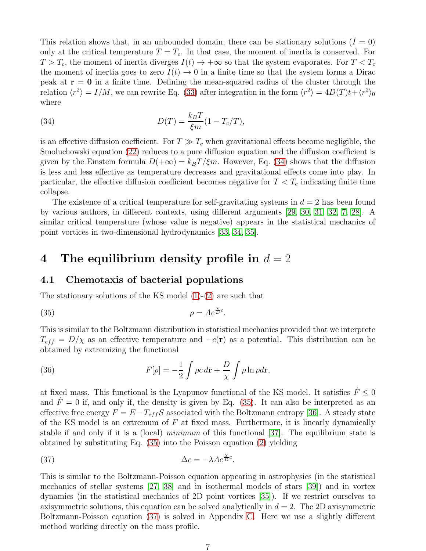This relation shows that, in an unbounded domain, there can be stationary solutions  $(I = 0)$ only at the critical temperature  $T = T_c$ . In that case, the moment of inertia is conserved. For  $T > T_c$ , the moment of inertia diverges  $I(t) \to +\infty$  so that the system evaporates. For  $T < T_c$ the moment of inertia goes to zero  $I(t) \rightarrow 0$  in a finite time so that the system forms a Dirac peak at  $r = 0$  in a finite time. Defining the mean-squared radius of the cluster through the relation  $\langle r^2 \rangle = I/M$ , we can rewrite Eq. [\(33\)](#page-5-3) after integration in the form  $\langle r^2 \rangle = 4D(T)t + \langle r^2 \rangle_0$ where

<span id="page-6-1"></span>(34) 
$$
D(T) = \frac{k_B T}{\xi m} (1 - T_c/T),
$$

is an effective diffusion coefficient. For  $T \gg T_c$  when gravitational effects become negligible, the Smoluchowski equation [\(22\)](#page-4-1) reduces to a pure diffusion equation and the diffusion coefficient is given by the Einstein formula  $D(+\infty) = k_BT/\xi m$ . However, Eq. [\(34\)](#page-6-1) shows that the diffusion is less and less effective as temperature decreases and gravitational effects come into play. In particular, the effective diffusion coefficient becomes negative for  $T < T_c$  indicating finite time collapse.

The existence of a critical temperature for self-gravitating systems in  $d = 2$  has been found by various authors, in different contexts, using different arguments [\[29,](#page-24-0) [30,](#page-24-1) [31,](#page-24-2) [32,](#page-24-3) [7,](#page-23-6) [28\]](#page-23-27). A similar critical temperature (whose value is negative) appears in the statistical mechanics of point vortices in two-dimensional hydrodynamics [\[33,](#page-24-4) [34,](#page-24-5) [35\]](#page-24-6).

### <span id="page-6-0"></span>4 The equilibrium density profile in  $d = 2$

#### 4.1 Chemotaxis of bacterial populations

The stationary solutions of the KS model [\(1\)](#page-1-1)-[\(2\)](#page-1-2) are such that

<span id="page-6-2"></span>
$$
\rho = Ae^{\frac{\chi}{D}c}.
$$

This is similar to the Boltzmann distribution in statistical mechanics provided that we interprete  $T_{eff} = D/\chi$  as an effective temperature and  $-c(\mathbf{r})$  as a potential. This distribution can be obtained by extremizing the functional

<span id="page-6-4"></span>(36) 
$$
F[\rho] = -\frac{1}{2} \int \rho c \, d\mathbf{r} + \frac{D}{\chi} \int \rho \ln \rho d\mathbf{r},
$$

at fixed mass. This functional is the Lyapunov functional of the KS model. It satisfies  $\ddot{F} \leq 0$ and  $\dot{F} = 0$  if, and only if, the density is given by Eq. [\(35\)](#page-6-2). It can also be interpreted as an effective free energy  $F = E - T_{eff}S$  associated with the Boltzmann entropy [\[36\]](#page-24-7). A steady state of the KS model is an extremum of  $F$  at fixed mass. Furthermore, it is linearly dynamically stable if and only if it is a (local) minimum of this functional [\[37\]](#page-24-8). The equilibrium state is obtained by substituting Eq. [\(35\)](#page-6-2) into the Poisson equation [\(2\)](#page-1-2) yielding

<span id="page-6-3"></span>(37) 
$$
\Delta c = -\lambda A e^{\frac{\chi}{D}c}.
$$

This is similar to the Boltzmann-Poisson equation appearing in astrophysics (in the statistical mechanics of stellar systems [\[27,](#page-23-26) [38\]](#page-24-9) and in isothermal models of stars [\[39\]](#page-24-10)) and in vortex dynamics (in the statistical mechanics of 2D point vortices [\[35\]](#page-24-6)). If we restrict ourselves to axisymmetric solutions, this equation can be solved analytically in  $d = 2$ . The 2D axisymmetric Boltzmann-Poisson equation [\(37\)](#page-6-3) is solved in Appendix [C.](#page-20-1) Here we use a slightly different method working directly on the mass profile.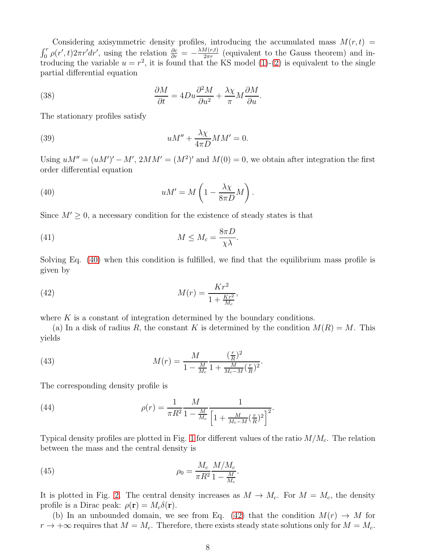Considering axisymmetric density profiles, introducing the accumulated mass  $M(r, t)$  =  $\int_0^r \rho(r',t) 2\pi r' dr'$ , using the relation  $\frac{\partial c}{\partial r} = -\frac{\lambda M(r,t)}{2\pi r}$  $\frac{\partial u(r,t)}{\partial \tau}$  (equivalent to the Gauss theorem) and introducing the variable  $u = r^2$ , it is found that the KS model [\(1\)](#page-1-1)-[\(2\)](#page-1-2) is equivalent to the single partial differential equation

(38) 
$$
\frac{\partial M}{\partial t} = 4Du\frac{\partial^2 M}{\partial u^2} + \frac{\lambda \chi}{\pi}M\frac{\partial M}{\partial u}.
$$

The stationary profiles satisfy

(39) 
$$
uM'' + \frac{\lambda \chi}{4\pi D} MM' = 0.
$$

Using  $uM'' = (uM')' - M'$ ,  $2MM' = (M^2)'$  and  $M(0) = 0$ , we obtain after integration the first order differential equation

<span id="page-7-0"></span>(40) 
$$
uM' = M\left(1 - \frac{\lambda \chi}{8\pi D}M\right).
$$

Since  $M' \geq 0$ , a necessary condition for the existence of steady states is that

<span id="page-7-3"></span>(41) 
$$
M \leq M_c = \frac{8\pi D}{\chi \lambda}.
$$

Solving Eq. [\(40\)](#page-7-0) when this condition is fulfilled, we find that the equilibrium mass profile is given by

<span id="page-7-1"></span>(42) 
$$
M(r) = \frac{Kr^2}{1 + \frac{Kr^2}{M_c}},
$$

where  $K$  is a constant of integration determined by the boundary conditions.

(a) In a disk of radius R, the constant K is determined by the condition  $M(R) = M$ . This yields

(43) 
$$
M(r) = \frac{M}{1 - \frac{M}{M_c}} \frac{(\frac{r}{R})^2}{1 + \frac{M}{M_c - M} (\frac{r}{R})^2}.
$$

The corresponding density profile is

<span id="page-7-2"></span>(44) 
$$
\rho(r) = \frac{1}{\pi R^2} \frac{M}{1 - \frac{M}{M_c}} \frac{1}{\left[1 + \frac{M}{M_c - M} \left(\frac{r}{R}\right)^2\right]^2}.
$$

Typical density profiles are plotted in Fig. [1](#page-8-0) for different values of the ratio  $M/M_c$ . The relation between the mass and the central density is

(45) 
$$
\rho_0 = \frac{M_c}{\pi R^2} \frac{M/M_c}{1 - \frac{M}{M_c}}.
$$

It is plotted in Fig. [2.](#page-8-1) The central density increases as  $M \to M_c$ . For  $M = M_c$ , the density profile is a Dirac peak:  $\rho(\mathbf{r}) = M_c \delta(\mathbf{r}).$ 

(b) In an unbounded domain, we see from Eq. [\(42\)](#page-7-1) that the condition  $M(r) \to M$  for  $r \to +\infty$  requires that  $M = M_c$ . Therefore, there exists steady state solutions only for  $M = M_c$ .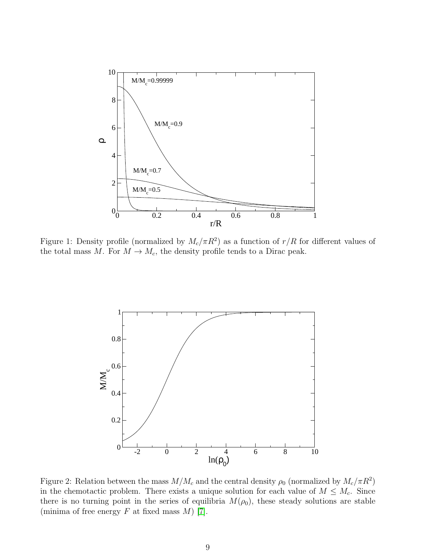

<span id="page-8-0"></span>Figure 1: Density profile (normalized by  $M_c/\pi R^2$ ) as a function of  $r/R$  for different values of the total mass M. For  $M \to M_c$ , the density profile tends to a Dirac peak.



<span id="page-8-1"></span>Figure 2: Relation between the mass  $M/M_c$  and the central density  $\rho_0$  (normalized by  $M_c/\pi R^2$ ) in the chemotactic problem. There exists a unique solution for each value of  $M \leq M_c$ . Since there is no turning point in the series of equilibria  $M(\rho_0)$ , these steady solutions are stable (minima of free energy  $F$  at fixed mass  $M$ ) [\[7\]](#page-23-6).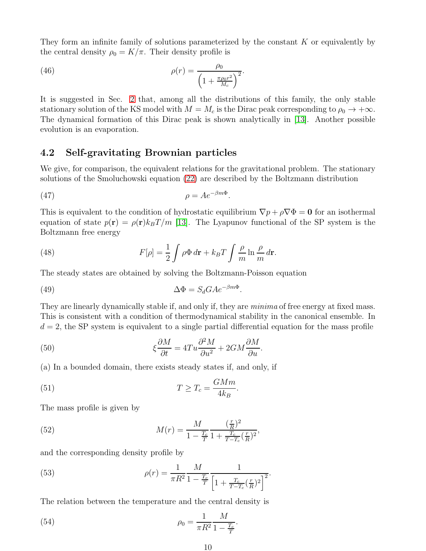They form an infinite family of solutions parameterized by the constant  $K$  or equivalently by the central density  $\rho_0 = K/\pi$ . Their density profile is

<span id="page-9-3"></span>(46) 
$$
\rho(r) = \frac{\rho_0}{\left(1 + \frac{\pi \rho_0 r^2}{M_c}\right)^2}.
$$

It is suggested in Sec. [2](#page-1-0) that, among all the distributions of this family, the only stable stationary solution of the KS model with  $M = M_c$  is the Dirac peak corresponding to  $\rho_0 \to +\infty$ . The dynamical formation of this Dirac peak is shown analytically in [\[13\]](#page-23-12). Another possible evolution is an evaporation.

#### 4.2 Self-gravitating Brownian particles

We give, for comparison, the equivalent relations for the gravitational problem. The stationary solutions of the Smoluchowski equation [\(22\)](#page-4-1) are described by the Boltzmann distribution

$$
\rho = Ae^{-\beta m\Phi}.
$$

This is equivalent to the condition of hydrostatic equilibrium  $\nabla p + \rho \nabla \Phi = 0$  for an isothermal equation of state  $p(\mathbf{r}) = \rho(\mathbf{r})k_BT/m$  [\[13\]](#page-23-12). The Lyapunov functional of the SP system is the Boltzmann free energy

<span id="page-9-2"></span>(48) 
$$
F[\rho] = \frac{1}{2} \int \rho \Phi \, d\mathbf{r} + k_B T \int \frac{\rho}{m} \ln \frac{\rho}{m} \, d\mathbf{r}.
$$

The steady states are obtained by solving the Boltzmann-Poisson equation

(49) 
$$
\Delta \Phi = S_d G A e^{-\beta m \Phi}
$$

They are linearly dynamically stable if, and only if, they are *minima* of free energy at fixed mass. This is consistent with a condition of thermodynamical stability in the canonical ensemble. In  $d = 2$ , the SP system is equivalent to a single partial differential equation for the mass profile

<span id="page-9-0"></span>.

(50) 
$$
\xi \frac{\partial M}{\partial t} = 4Tu \frac{\partial^2 M}{\partial u^2} + 2GM \frac{\partial M}{\partial u}.
$$

(a) In a bounded domain, there exists steady states if, and only, if

(51) 
$$
T \geq T_c = \frac{GMm}{4k_B}.
$$

The mass profile is given by

(52) 
$$
M(r) = \frac{M}{1 - \frac{T_c}{T}} \frac{(\frac{r}{R})^2}{1 + \frac{T_c}{T - T_c}(\frac{r}{R})^2},
$$

and the corresponding density profile by

<span id="page-9-1"></span>(53) 
$$
\rho(r) = \frac{1}{\pi R^2} \frac{M}{1 - \frac{T_c}{T}} \frac{1}{\left[1 + \frac{T_c}{T - T_c} \left(\frac{r}{R}\right)^2\right]^2}.
$$

The relation between the temperature and the central density is

(54) 
$$
\rho_0 = \frac{1}{\pi R^2} \frac{M}{1 - \frac{T_c}{T}}.
$$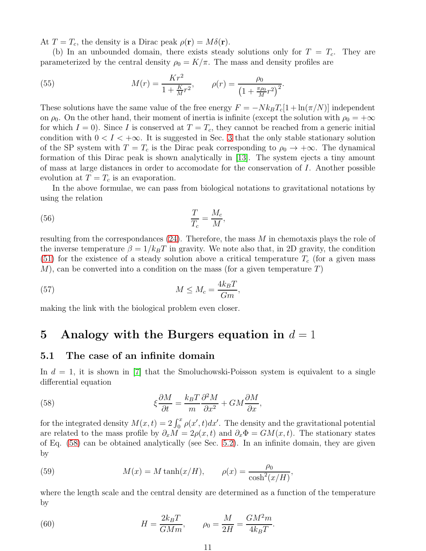At  $T = T_c$ , the density is a Dirac peak  $\rho(\mathbf{r}) = M\delta(\mathbf{r})$ .

(b) In an unbounded domain, there exists steady solutions only for  $T = T_c$ . They are parameterized by the central density  $\rho_0 = K/\pi$ . The mass and density profiles are

<span id="page-10-5"></span>(55) 
$$
M(r) = \frac{Kr^2}{1 + \frac{K}{M}r^2}, \qquad \rho(r) = \frac{\rho_0}{\left(1 + \frac{\pi \rho_0}{M}r^2\right)^2}.
$$

These solutions have the same value of the free energy  $F = -Nk_BT_c[1 + \ln(\pi/N)]$  independent on  $\rho_0$ . On the other hand, their moment of inertia is infinite (except the solution with  $\rho_0 = +\infty$ for which  $I = 0$ ). Since I is conserved at  $T = T_c$ , they cannot be reached from a generic initial condition with  $0 < I < +\infty$ . It is suggested in Sec. [3](#page-4-0) that the only stable stationary solution of the SP system with  $T = T_c$  is the Dirac peak corresponding to  $\rho_0 \rightarrow +\infty$ . The dynamical formation of this Dirac peak is shown analytically in [\[13\]](#page-23-12). The system ejects a tiny amount of mass at large distances in order to accomodate for the conservation of I. Another possible evolution at  $T = T_c$  is an evaporation.

In the above formulae, we can pass from biological notations to gravitational notations by using the relation

$$
\frac{T}{T_c} = \frac{M_c}{M},
$$

resulting from the correspondances [\(24\)](#page-4-3). Therefore, the mass M in chemotaxis plays the role of the inverse temperature  $\beta = 1/k_BT$  in gravity. We note also that, in 2D gravity, the condition [\(51\)](#page-9-0) for the existence of a steady solution above a critical temperature  $T_c$  (for a given mass  $M$ , can be converted into a condition on the mass (for a given temperature T)

(57) 
$$
M \leq M_c = \frac{4k_B T}{Gm},
$$

<span id="page-10-0"></span>making the link with the biological problem even closer.

### 5 Analogy with the Burgers equation in  $d = 1$

#### <span id="page-10-4"></span>5.1 The case of an infinite domain

In  $d = 1$ , it is shown in [\[7\]](#page-23-6) that the Smoluchowski-Poisson system is equivalent to a single differential equation

<span id="page-10-1"></span>(58) 
$$
\xi \frac{\partial M}{\partial t} = \frac{k_B T}{m} \frac{\partial^2 M}{\partial x^2} + GM \frac{\partial M}{\partial x},
$$

for the integrated density  $M(x,t) = 2 \int_0^x \rho(x',t) dx'$ . The density and the gravitational potential are related to the mass profile by  $\partial_x M = 2\rho(x, t)$  and  $\partial_x \Phi = GM(x, t)$ . The stationary states of Eq. [\(58\)](#page-10-1) can be obtained analytically (see Sec. [5.2\)](#page-11-0). In an infinite domain, they are given by

<span id="page-10-2"></span>(59) 
$$
M(x) = M \tanh(x/H), \qquad \rho(x) = \frac{\rho_0}{\cosh^2(x/H)},
$$

where the length scale and the central density are determined as a function of the temperature by

<span id="page-10-3"></span>(60) 
$$
H = \frac{2k_B T}{GMm}, \qquad \rho_0 = \frac{M}{2H} = \frac{GM^2 m}{4k_B T}.
$$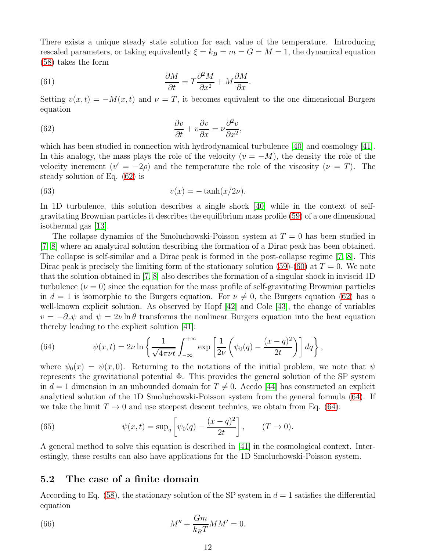There exists a unique steady state solution for each value of the temperature. Introducing rescaled parameters, or taking equivalently  $\xi = k_B = m = G = M = 1$ , the dynamical equation [\(58\)](#page-10-1) takes the form

<span id="page-11-4"></span>(61) 
$$
\frac{\partial M}{\partial t} = T \frac{\partial^2 M}{\partial x^2} + M \frac{\partial M}{\partial x}.
$$

Setting  $v(x,t) = -M(x,t)$  and  $\nu = T$ , it becomes equivalent to the one dimensional Burgers equation

<span id="page-11-1"></span>(62) 
$$
\frac{\partial v}{\partial t} + v \frac{\partial v}{\partial x} = \nu \frac{\partial^2 v}{\partial x^2},
$$

which has been studied in connection with hydrodynamical turbulence [\[40\]](#page-24-11) and cosmology [\[41\]](#page-24-12). In this analogy, the mass plays the role of the velocity  $(v = -M)$ , the density the role of the velocity increment  $(v' = -2\rho)$  and the temperature the role of the viscosity  $(\nu = T)$ . The steady solution of Eq. [\(62\)](#page-11-1) is

(63) 
$$
v(x) = -\tanh(x/2\nu).
$$

In 1D turbulence, this solution describes a single shock [\[40\]](#page-24-11) while in the context of selfgravitating Brownian particles it describes the equilibrium mass profile [\(59\)](#page-10-2) of a one dimensional isothermal gas [\[13\]](#page-23-12).

The collapse dynamics of the Smoluchowski-Poisson system at  $T = 0$  has been studied in [\[7,](#page-23-6) [8\]](#page-23-7) where an analytical solution describing the formation of a Dirac peak has been obtained. The collapse is self-similar and a Dirac peak is formed in the post-collapse regime [\[7,](#page-23-6) [8\]](#page-23-7). This Dirac peak is precisely the limiting form of the stationary solution [\(59\)](#page-10-2)-[\(60\)](#page-10-3) at  $T = 0$ . We note that the solution obtained in [\[7,](#page-23-6) [8\]](#page-23-7) also describes the formation of a singular shock in inviscid 1D turbulence  $(\nu = 0)$  since the equation for the mass profile of self-gravitating Brownian particles in  $d = 1$  is isomorphic to the Burgers equation. For  $\nu \neq 0$ , the Burgers equation [\(62\)](#page-11-1) has a well-known explicit solution. As observed by Hopf [\[42\]](#page-24-13) and Cole [\[43\]](#page-24-14), the change of variables  $v = -\partial_x \psi$  and  $\psi = 2\nu \ln \theta$  transforms the nonlinear Burgers equation into the heat equation thereby leading to the explicit solution [\[41\]](#page-24-12):

<span id="page-11-2"></span>(64) 
$$
\psi(x,t) = 2\nu \ln \left\{ \frac{1}{\sqrt{4\pi\nu t}} \int_{-\infty}^{+\infty} \exp\left[\frac{1}{2\nu} \left(\psi_0(q) - \frac{(x-q)^2}{2t}\right)\right] dq \right\},
$$

where  $\psi_0(x) = \psi(x, 0)$ . Returning to the notations of the initial problem, we note that  $\psi$ represents the gravitational potential  $\Phi$ . This provides the general solution of the SP system in  $d = 1$  dimension in an unbounded domain for  $T \neq 0$ . Acedo [\[44\]](#page-24-15) has constructed an explicit analytical solution of the 1D Smoluchowski-Poisson system from the general formula [\(64\)](#page-11-2). If we take the limit  $T \to 0$  and use steepest descent technics, we obtain from Eq. [\(64\)](#page-11-2):

(65) 
$$
\psi(x,t) = \sup_{q} \left[ \psi_0(q) - \frac{(x-q)^2}{2t} \right], \qquad (T \to 0).
$$

A general method to solve this equation is described in [\[41\]](#page-24-12) in the cosmological context. Interestingly, these results can also have applications for the 1D Smoluchowski-Poisson system.

#### <span id="page-11-0"></span>5.2 The case of a finite domain

According to Eq. [\(58\)](#page-10-1), the stationary solution of the SP system in  $d = 1$  satisfies the differential equation

<span id="page-11-3"></span>(66) 
$$
M'' + \frac{Gm}{k_B T} M M' = 0.
$$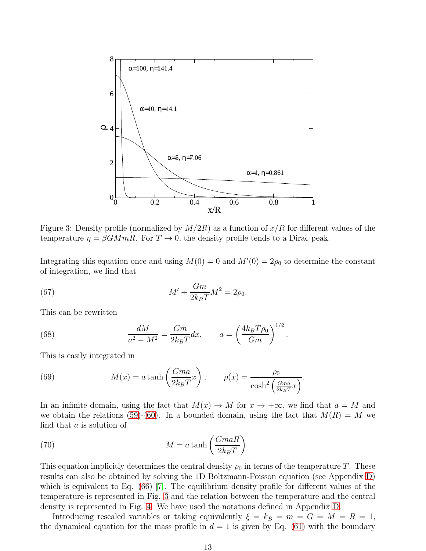

<span id="page-12-0"></span>Figure 3: Density profile (normalized by  $M/2R$ ) as a function of  $x/R$  for different values of the temperature  $\eta = \beta G M m R$ . For  $T \to 0$ , the density profile tends to a Dirac peak.

Integrating this equation once and using  $M(0) = 0$  and  $M'(0) = 2\rho_0$  to determine the constant of integration, we find that

(67) 
$$
M' + \frac{Gm}{2k_BT}M^2 = 2\rho_0.
$$

This can be rewritten

(68) 
$$
\frac{dM}{a^2 - M^2} = \frac{Gm}{2k_B T} dx, \qquad a = \left(\frac{4k_B T \rho_0}{Gm}\right)^{1/2}.
$$

This is easily integrated in

<span id="page-12-1"></span>(69) 
$$
M(x) = a \tanh\left(\frac{Gma}{2k_BT}x\right), \qquad \rho(x) = \frac{\rho_0}{\cosh^2\left(\frac{Gma}{2k_BT}x\right)}.
$$

In an infinite domain, using the fact that  $M(x) \to M$  for  $x \to +\infty$ , we find that  $a = M$  and we obtain the relations [\(59\)](#page-10-2)-[\(60\)](#page-10-3). In a bounded domain, using the fact that  $M(R) = M$  we find that a is solution of

<span id="page-12-2"></span>(70) 
$$
M = a \tanh\left(\frac{GmaR}{2k_BT}\right).
$$

This equation implicitly determines the central density  $\rho_0$  in terms of the temperature T. These results can also be obtained by solving the 1D Boltzmann-Poisson equation (see Appendix [D\)](#page-22-0) which is equivalent to Eq. [\(66\)](#page-11-3) [\[7\]](#page-23-6). The equilibrium density profile for different values of the temperature is represented in Fig. [3](#page-12-0) and the relation between the temperature and the central density is represented in Fig. [4.](#page-13-0) We have used the notations defined in Appendix [D.](#page-22-0)

Introducing rescaled variables or taking equivalently  $\xi = k_B = m = G = M = R = 1$ , the dynamical equation for the mass profile in  $d = 1$  is given by Eq. [\(61\)](#page-11-4) with the boundary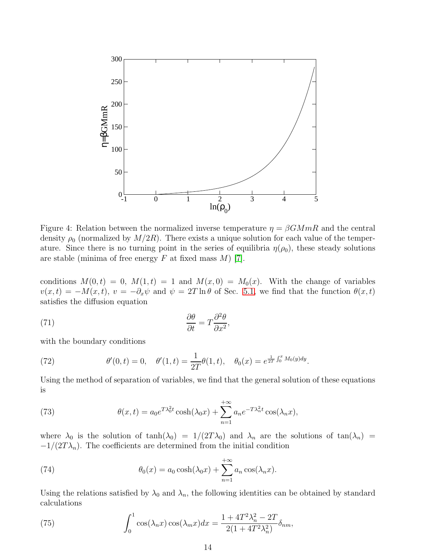

<span id="page-13-0"></span>Figure 4: Relation between the normalized inverse temperature  $\eta = \beta G M mR$  and the central density  $\rho_0$  (normalized by  $M/2R$ ). There exists a unique solution for each value of the temperature. Since there is no turning point in the series of equilibria  $\eta(\rho_0)$ , these steady solutions are stable (minima of free energy  $F$  at fixed mass  $M$ ) [\[7\]](#page-23-6).

conditions  $M(0, t) = 0$ ,  $M(1, t) = 1$  and  $M(x, 0) = M_0(x)$ . With the change of variables  $v(x,t) = -M(x,t), v = -\partial_x \psi$  and  $\psi = 2T \ln \theta$  of Sec. [5.1,](#page-10-4) we find that the function  $\theta(x,t)$ satisfies the diffusion equation

(71) 
$$
\frac{\partial \theta}{\partial t} = T \frac{\partial^2 \theta}{\partial x^2},
$$

with the boundary conditions

(72) 
$$
\theta'(0,t) = 0, \quad \theta'(1,t) = \frac{1}{2T}\theta(1,t), \quad \theta_0(x) = e^{\frac{1}{2T}\int_0^x M_0(y)dy}.
$$

Using the method of separation of variables, we find that the general solution of these equations is

<span id="page-13-1"></span>(73) 
$$
\theta(x,t) = a_0 e^{T\lambda_0^2 t} \cosh(\lambda_0 x) + \sum_{n=1}^{+\infty} a_n e^{-T\lambda_n^2 t} \cos(\lambda_n x),
$$

where  $\lambda_0$  is the solution of  $\tanh(\lambda_0) = 1/(2T\lambda_0)$  and  $\lambda_n$  are the solutions of  $\tan(\lambda_n) =$  $-1/(2T\lambda_n)$ . The coefficients are determined from the initial condition

(74) 
$$
\theta_0(x) = a_0 \cosh(\lambda_0 x) + \sum_{n=1}^{+\infty} a_n \cos(\lambda_n x).
$$

Using the relations satisfied by  $\lambda_0$  and  $\lambda_n$ , the following identities can be obtained by standard calculations

(75) 
$$
\int_0^1 \cos(\lambda_n x) \cos(\lambda_m x) dx = \frac{1 + 4T^2 \lambda_n^2 - 2T}{2(1 + 4T^2 \lambda_n^2)} \delta_{nm},
$$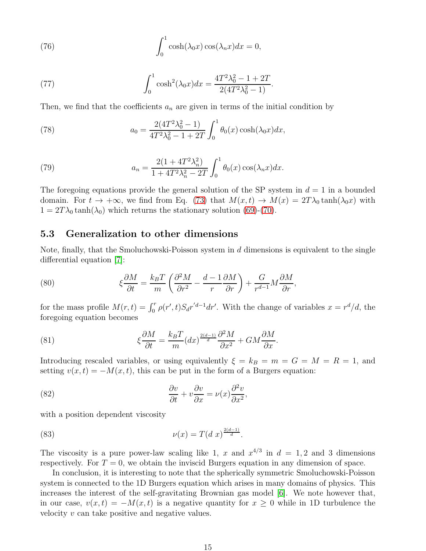(76) 
$$
\int_0^1 \cosh(\lambda_0 x) \cos(\lambda_n x) dx = 0,
$$

(77) 
$$
\int_0^1 \cosh^2(\lambda_0 x) dx = \frac{4T^2\lambda_0^2 - 1 + 2T}{2(4T^2\lambda_0^2 - 1)}.
$$

Then, we find that the coefficients  $a_n$  are given in terms of the initial condition by

(78) 
$$
a_0 = \frac{2(4T^2\lambda_0^2 - 1)}{4T^2\lambda_0^2 - 1 + 2T} \int_0^1 \theta_0(x) \cosh(\lambda_0 x) dx,
$$

(79) 
$$
a_n = \frac{2(1 + 4T^2\lambda_n^2)}{1 + 4T^2\lambda_n^2 - 2T} \int_0^1 \theta_0(x) \cos(\lambda_n x) dx.
$$

The foregoing equations provide the general solution of the SP system in  $d = 1$  in a bounded domain. For  $t \to +\infty$ , we find from Eq. [\(73\)](#page-13-1) that  $M(x,t) \to M(x) = 2T\lambda_0 \tanh(\lambda_0 x)$  with  $1 = 2T\lambda_0 \tanh(\lambda_0)$  which returns the stationary solution [\(69\)](#page-12-1)-[\(70\)](#page-12-2).

#### 5.3 Generalization to other dimensions

Note, finally, that the Smoluchowski-Poisson system in d dimensions is equivalent to the single differential equation [\[7\]](#page-23-6):

<span id="page-14-0"></span>(80) 
$$
\xi \frac{\partial M}{\partial t} = \frac{k_B T}{m} \left( \frac{\partial^2 M}{\partial r^2} - \frac{d-1}{r} \frac{\partial M}{\partial r} \right) + \frac{G}{r^{d-1}} M \frac{\partial M}{\partial r},
$$

for the mass profile  $M(r,t) = \int_0^r \rho(r',t) S_d r'^{d-1} dr'$ . With the change of variables  $x = r^d/d$ , the foregoing equation becomes

(81) 
$$
\xi \frac{\partial M}{\partial t} = \frac{k_B T}{m} (dx)^{\frac{2(d-1)}{d}} \frac{\partial^2 M}{\partial x^2} + GM \frac{\partial M}{\partial x}.
$$

Introducing rescaled variables, or using equivalently  $\xi = k_B = m = G = M = R = 1$ , and setting  $v(x, t) = -M(x, t)$ , this can be put in the form of a Burgers equation:

(82) 
$$
\frac{\partial v}{\partial t} + v \frac{\partial v}{\partial x} = \nu(x) \frac{\partial^2 v}{\partial x^2},
$$

with a position dependent viscosity

(83) 
$$
\nu(x) = T(d \; x)^{\frac{2(d-1)}{d}}.
$$

The viscosity is a pure power-law scaling like 1, x and  $x^{4/3}$  in  $d = 1, 2$  and 3 dimensions respectively. For  $T = 0$ , we obtain the inviscid Burgers equation in any dimension of space.

In conclusion, it is interesting to note that the spherically symmetric Smoluchowski-Poisson system is connected to the 1D Burgers equation which arises in many domains of physics. This increases the interest of the self-gravitating Brownian gas model [\[6\]](#page-23-5). We note however that, in our case,  $v(x,t) = -M(x,t)$  is a negative quantity for  $x \geq 0$  while in 1D turbulence the velocity v can take positive and negative values.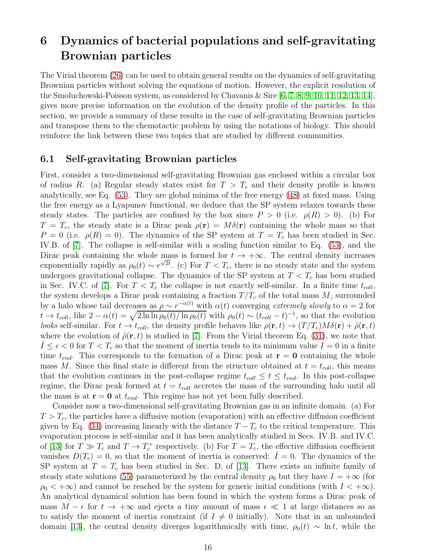## <span id="page-15-0"></span>6 Dynamics of bacterial populations and self-gravitating Brownian particles

The Virial theorem [\(26\)](#page-5-4) can be used to obtain general results on the dynamics of self-gravitating Brownian particles without solving the equations of motion. However, the explicit resolution of the Smoluchowski-Poisson system, as considered by Chavanis & Sire [\[6,](#page-23-5) [7,](#page-23-6) [8,](#page-23-7) [9,](#page-23-8) [10,](#page-23-9) [11,](#page-23-10) [12,](#page-23-11) [13,](#page-23-12) [14\]](#page-23-13), gives more precise information on the evolution of the density profile of the particles. In this section, we provide a summary of these results in the case of self-gravitating Brownian particles and transpose them to the chemotactic problem by using the notations of biology. This should reinforce the link between these two topics that are studied by different communities.

#### <span id="page-15-1"></span>6.1 Self-gravitating Brownian particles

First, consider a two-dimensional self-gravitating Brownian gas enclosed within a circular box of radius R. (a) Regular steady states exist for  $T > T_c$  and their density profile is known analytically, see Eq. [\(53\)](#page-9-1). They are global minima of the free energy [\(48\)](#page-9-2) at fixed mass. Using the free energy as a Lyapunov functional, we deduce that the SP system relaxes towards these steady states. The particles are confined by the box since  $P > 0$  (i.e.  $\rho(R) > 0$ ). (b) For  $T = T_c$ , the steady state is a Dirac peak  $\rho(\mathbf{r}) = M\delta(\mathbf{r})$  containing the whole mass so that  $P = 0$  (i.e.  $\rho(R) = 0$ ). The dynamics of the SP system at  $T = T_c$  has been studied in Sec. IV.B. of [\[7\]](#page-23-6). The collapse is self-similar with a scaling function similar to Eq. [\(53\)](#page-9-1), and the Dirac peak containing the whole mass is formed for  $t \to +\infty$ . The central density increases exponentially rapidly as  $\rho_0(t) \sim e^{\sqrt{2t}}$ . (c) For  $T < T_c$ , there is no steady state and the system undergoes gravitational collapse. The dynamics of the SP system at  $T < T_c$  has been studied in Sec. IV.C. of [\[7\]](#page-23-6). For  $T < T_c$  the collapse is not exactly self-similar. In a finite time  $t_{coll}$ , the system develops a Dirac peak containing a fraction  $T/T_c$  of the total mass M, surrounded by a halo whose tail decreases as  $\rho \sim r^{-\alpha(t)}$  with  $\alpha(t)$  converging extremely slowly to  $\alpha = 2$  for  $t \to t_{coll}$ , like  $2 - \alpha(t) = \sqrt{2 \ln \ln \rho_0(t)} / \ln \rho_0(t)$  with  $\rho_0(t) \sim (t_{coll} - t)^{-1}$ , so that the evolution looks self-similar. For  $t \to t_{coll}$ , the density profile behaves like  $\rho(\mathbf{r}, t) \to (T/T_c)M\delta(\mathbf{r}) + \tilde{\rho}(\mathbf{r}, t)$ where the evolution of  $\tilde{\rho}(\mathbf{r}, t)$  is studied in [\[7\]](#page-23-6). From the Virial theorem Eq. [\(31\)](#page-5-2), we note that  $I \leq \epsilon < 0$  for  $T < T_c$  so that the moment of inertia tends to its minimum value  $I = 0$  in a finite time  $t_{end}$ . This corresponds to the formation of a Dirac peak at  $\mathbf{r} = \mathbf{0}$  containing the whole mass M. Since this final state is different from the structure obtained at  $t = t_{coll}$ , this means that the evolution continues in the post-collapse regime  $t_{coll} \leq t \leq t_{end}$ . In this post-collapse regime, the Dirac peak formed at  $t = t_{coll}$  accretes the mass of the surrounding halo until all the mass is at  $\mathbf{r} = \mathbf{0}$  at  $t_{end}$ . This regime has not yet been fully described.

Consider now a two-dimensional self-gravitating Brownian gas in an infinite domain. (a) For  $T > T_c$ , the particles have a diffusive motion (evaporation) with an effective diffusion coefficient given by Eq. [\(34\)](#page-6-1) increasing linearly with the distance  $T - T_c$  to the critical temperature. This evaporation process is self-similar and it has been analytically studied in Secs. IV.B. and IV.C. of [\[13\]](#page-23-12) for  $T \gg T_c$  and  $T \to T_c^+$  respectively. (b) For  $T = T_c$ , the effective diffusion coefficient vanishes  $D(T_c) = 0$ , so that the moment of inertia is conserved:  $I = 0$ . The dynamics of the SP system at  $T = T_c$  has been studied in Sec. D. of [\[13\]](#page-23-12). There exists an infinite family of steady state solutions [\(55\)](#page-10-5) parameterized by the central density  $\rho_0$  but they have  $I = +\infty$  (for  $\rho_0 < +\infty$ ) and cannot be reached by the system for generic initial conditions (with  $I < +\infty$ ). An analytical dynamical solution has been found in which the system forms a Dirac peak of mass  $M - \epsilon$  for  $t \to +\infty$  and ejects a tiny amount of mass  $\epsilon \ll 1$  at large distances so as to satisfy the moment of inertia constraint (if  $I \neq 0$  initially). Note that in an unbounded domain [\[13\]](#page-23-12), the central density diverges logarithmically with time,  $\rho_0(t) \sim \ln t$ , while the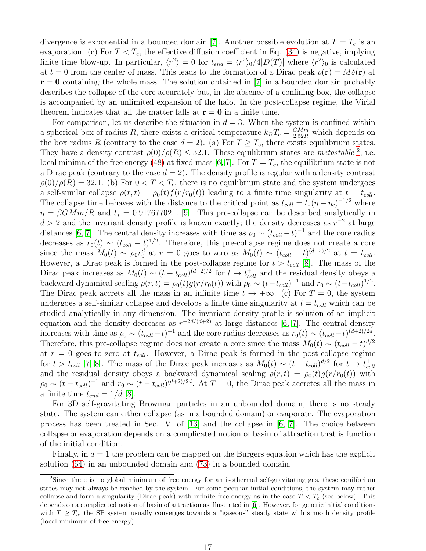divergence is exponential in a bounded domain [\[7\]](#page-23-6). Another possible evolution at  $T = T_c$  is an evaporation. (c) For  $T < T_c$ , the effective diffusion coefficient in Eq. [\(34\)](#page-6-1) is negative, implying finite time blow-up. In particular,  $\langle r^2 \rangle = 0$  for  $t_{end} = \langle r^2 \rangle_0/4|D(T)|$  where  $\langle r^2 \rangle_0$  is calculated at  $t = 0$  from the center of mass. This leads to the formation of a Dirac peak  $\rho(\mathbf{r}) = M\delta(\mathbf{r})$  at  $r = 0$  containing the whole mass. The solution obtained in [\[7\]](#page-23-6) in a bounded domain probably describes the collapse of the core accurately but, in the absence of a confining box, the collapse is accompanied by an unlimited expansion of the halo. In the post-collapse regime, the Virial theorem indicates that all the matter falls at  $\mathbf{r} = \mathbf{0}$  in a finite time.

For comparison, let us describe the situation in  $d = 3$ . When the system is confined within a spherical box of radius R, there exists a critical temperature  $k_B T_c = \frac{GMm}{2.52R}$  which depends on the box radius R (contrary to the case  $d = 2$ ). (a) For  $T \geq T_c$ , there exists equilibrium states. They have a density contrast  $\rho(0)/\rho(R) \leq 32.1$  $\rho(0)/\rho(R) \leq 32.1$  $\rho(0)/\rho(R) \leq 32.1$ . These equilibrium states are *metastable* <sup>2</sup>, i.e. local minima of the free energy [\(48\)](#page-9-2) at fixed mass [\[6,](#page-23-5) [7\]](#page-23-6). For  $T = T_c$ , the equilibrium state is not a Dirac peak (contrary to the case  $d = 2$ ). The density profile is regular with a density contrast  $\rho(0)/\rho(R) = 32.1.$  (b) For  $0 < T < T_c$ , there is no equilibrium state and the system undergoes a self-similar collapse  $\rho(r,t) = \rho_0(t) f(r/r_0(t))$  leading to a finite time singularity at  $t = t_{coll}$ . The collapse time behaves with the distance to the critical point as  $t_{coll} = t_*(\eta - \eta_c)^{-1/2}$  where  $\eta = \beta G M m / R$  and  $t_* = 0.91767702...$  [\[9\]](#page-23-8). This pre-collapse can be described analytically in  $d > 2$  and the invariant density profile is known exactly; the density decreases as  $r^{-2}$  at large distances [\[6,](#page-23-5) [7\]](#page-23-6). The central density increases with time as  $\rho_0 \sim (t_{coll} - t)^{-1}$  and the core radius decreases as  $r_0(t) \sim (t_{coll} - t)^{1/2}$ . Therefore, this pre-collapse regime does not create a core since the mass  $M_0(t) \sim \rho_0 r_0^d$  at  $r = 0$  goes to zero as  $M_0(t) \sim (t_{coll} - t)^{(d-2)/2}$  at  $t = t_{coll}$ . However, a Dirac peak is formed in the post-collapse regime for  $t > t_{coll}$  [\[8\]](#page-23-7). The mass of the Dirac peak increases as  $M_0(t) \sim (t - t_{coll})^{(d-2)/2}$  for  $t \to t_{coll}^+$  and the residual density obeys a backward dynamical scaling  $\rho(r,t) = \rho_0(t) g(r/r_0(t))$  with  $\rho_0 \sim (t-t_{coll})^{-1}$  and  $r_0 \sim (t-t_{coll})^{1/2}$ . The Dirac peak accrets all the mass in an infinite time  $t \to +\infty$ . (c) For  $T = 0$ , the system undergoes a self-similar collapse and develops a finite time singularity at  $t = t_{coll}$  which can be studied analytically in any dimension. The invariant density profile is solution of an implicit equation and the density decreases as  $r^{-2d/(d+2)}$  at large distances [\[6,](#page-23-5) [7\]](#page-23-6). The central density increases with time as  $\rho_0 \sim (t_{coll}-t)^{-1}$  and the core radius decreases as  $r_0(t) \sim (t_{coll}-t)^{(d+2)/2d}$ . Therefore, this pre-collapse regime does not create a core since the mass  $M_0(t) \sim (t_{coll} - t)^{d/2}$ at  $r = 0$  goes to zero at  $t_{coll}$ . However, a Dirac peak is formed in the post-collapse regime for  $t > t_{coll}$  [\[7,](#page-23-6) [8\]](#page-23-7). The mass of the Dirac peak increases as  $M_0(t) \sim (t - t_{coll})^{d/2}$  for  $t \to t_{cc}^+$ coll and the residual density obeys a backward dynamical scaling  $\rho(r,t) = \rho_0(t)g(r/r_0(t))$  with  $\rho_0 \sim (t - t_{coll})^{-1}$  and  $r_0 \sim (t - t_{coll})^{(d+2)/2d}$ . At  $T = 0$ , the Dirac peak accretes all the mass in a finite time  $t_{end} = 1/d$  [\[8\]](#page-23-7).

For 3D self-gravitating Brownian particles in an unbounded domain, there is no steady state. The system can either collapse (as in a bounded domain) or evaporate. The evaporation process has been treated in Sec. V. of [\[13\]](#page-23-12) and the collapse in [\[6,](#page-23-5) [7\]](#page-23-6). The choice between collapse or evaporation depends on a complicated notion of basin of attraction that is function of the initial condition.

Finally, in  $d = 1$  the problem can be mapped on the Burgers equation which has the explicit solution [\(64\)](#page-11-2) in an unbounded domain and [\(73\)](#page-13-1) in a bounded domain.

<span id="page-16-0"></span><sup>2</sup>Since there is no global minimum of free energy for an isothermal self-gravitating gas, these equilibrium states may not always be reached by the system. For some peculiar initial conditions, the system may rather collapse and form a singularity (Dirac peak) with infinite free energy as in the case  $T < T_c$  (see below). This depends on a complicated notion of basin of attraction as illustrated in [\[6\]](#page-23-5). However, for generic initial conditions with  $T \geq T_c$ , the SP system usually converges towards a "gaseous" steady state with smooth density profile (local minimum of free energy).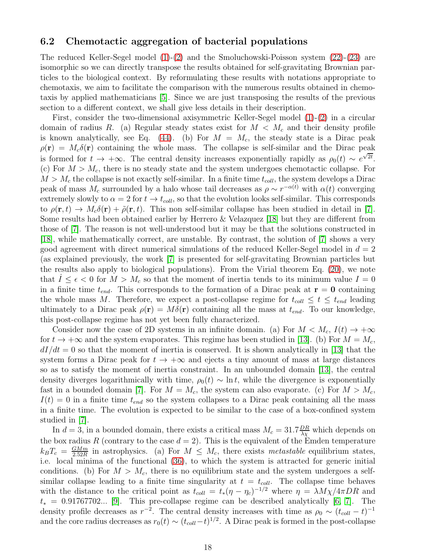#### 6.2 Chemotactic aggregation of bacterial populations

The reduced Keller-Segel model [\(1\)](#page-1-1)-[\(2\)](#page-1-2) and the Smoluchowski-Poisson system [\(22\)](#page-4-1)-[\(23\)](#page-4-2) are isomorphic so we can directly transpose the results obtained for self-gravitating Brownian particles to the biological context. By reformulating these results with notations appropriate to chemotaxis, we aim to facilitate the comparison with the numerous results obtained in chemotaxis by applied mathematicians [\[5\]](#page-23-4). Since we are just transposing the results of the previous section to a different context, we shall give less details in their description.

First, consider the two-dimensional axisymmetric Keller-Segel model [\(1\)](#page-1-1)-[\(2\)](#page-1-2) in a circular domain of radius R. (a) Regular steady states exist for  $M < M_c$  and their density profile is known analytically, see Eq. [\(44\)](#page-7-2). (b) For  $M = M_c$ , the steady state is a Dirac peak  $\rho(\mathbf{r}) = M_c \delta(\mathbf{r})$  containing the whole mass. The collapse is self-similar and the Dirac peak is formed for  $t \to +\infty$ . The central density increases exponentially rapidly as  $\rho_0(t) \sim e^{\sqrt{2t}}$ . (c) For  $M > M_c$ , there is no steady state and the system undergoes chemotactic collapse. For  $M > M_c$  the collapse is not exactly self-similar. In a finite time  $t_{coll}$ , the system develops a Dirac peak of mass  $M_c$  surrounded by a halo whose tail decreases as  $\rho \sim r^{-\alpha(t)}$  with  $\alpha(t)$  converging extremely slowly to  $\alpha = 2$  for  $t \to t_{coll}$ , so that the evolution looks self-similar. This corresponds to  $\rho(\mathbf{r},t) \to M_c \delta(\mathbf{r}) + \tilde{\rho}(\mathbf{r},t)$ . This non self-similar collapse has been studied in detail in [\[7\]](#page-23-6). Some results had been obtained earlier by Herrero & Velazquez [\[18\]](#page-23-17) but they are different from those of [\[7\]](#page-23-6). The reason is not well-understood but it may be that the solutions constructed in [\[18\]](#page-23-17), while mathematically correct, are unstable. By contrast, the solution of [\[7\]](#page-23-6) shows a very good agreement with direct numerical simulations of the reduced Keller-Segel model in  $d = 2$ (as explained previously, the work [\[7\]](#page-23-6) is presented for self-gravitating Brownian particles but the results also apply to biological populations). From the Virial theorem Eq. [\(20\)](#page-4-4), we note that  $I \leq \epsilon < 0$  for  $M > M_c$  so that the moment of inertia tends to its minimum value  $I = 0$ in a finite time  $t_{end}$ . This corresponds to the formation of a Dirac peak at  $\mathbf{r} = \mathbf{0}$  containing the whole mass M. Therefore, we expect a post-collapse regime for  $t_{coll} \leq t \leq t_{end}$  leading ultimately to a Dirac peak  $\rho(\mathbf{r}) = M\delta(\mathbf{r})$  containing all the mass at  $t_{end}$ . To our knowledge, this post-collapse regime has not yet been fully characterized.

Consider now the case of 2D systems in an infinite domain. (a) For  $M < M_c$ ,  $I(t) \rightarrow +\infty$ for  $t \to +\infty$  and the system evaporates. This regime has been studied in [\[13\]](#page-23-12). (b) For  $M = M_c$ ,  $dI/dt = 0$  so that the moment of inertia is conserved. It is shown analytically in [\[13\]](#page-23-12) that the system forms a Dirac peak for  $t \to +\infty$  and ejects a tiny amount of mass at large distances so as to satisfy the moment of inertia constraint. In an unbounded domain [\[13\]](#page-23-12), the central density diverges logarithmically with time,  $\rho_0(t) \sim \ln t$ , while the divergence is exponentially fast in a bounded domain [\[7\]](#page-23-6). For  $M = M_c$ , the system can also evaporate. (c) For  $M > M_c$ ,  $I(t) = 0$  in a finite time  $t_{end}$  so the system collapses to a Dirac peak containing all the mass in a finite time. The evolution is expected to be similar to the case of a box-confined system studied in [\[7\]](#page-23-6).

In  $d = 3$ , in a bounded domain, there exists a critical mass  $M_c = 31.7 \frac{DR}{\lambda \chi}$  which depends on the box radius R (contrary to the case  $d = 2$ ). This is the equivalent of the Emden temperature  $k_B T_c = \frac{GMm}{2.52R}$  $\frac{GMm}{2.52R}$  in astrophysics. (a) For  $M \leq M_c$ , there exists metastable equilibrium states, i.e. local minima of the functional [\(36\)](#page-6-4), to which the system is attracted for generic initial conditions. (b) For  $M > M_c$ , there is no equilibrium state and the system undergoes a selfsimilar collapse leading to a finite time singularity at  $t = t_{coll}$ . The collapse time behaves with the distance to the critical point as  $t_{coll} = t_*(\eta - \eta_c)^{-1/2}$  where  $\eta = \lambda M \chi / 4 \pi D R$  and  $t_* = 0.91767702...$  [\[9\]](#page-23-8). This pre-collapse regime can be described analytically [\[6,](#page-23-5) [7\]](#page-23-6). The density profile decreases as  $r^{-2}$ . The central density increases with time as  $\rho_0 \sim (t_{coll} - t)^{-1}$ and the core radius decreases as  $r_0(t) \sim (t_{coll}-t)^{1/2}$ . A Dirac peak is formed in the post-collapse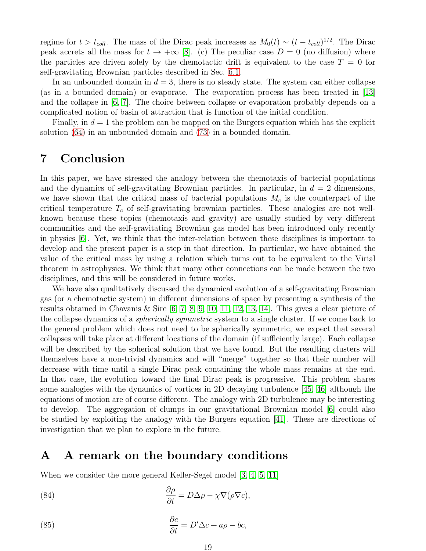regime for  $t > t_{coll}$ . The mass of the Dirac peak increases as  $M_0(t) \sim (t - t_{coll})^{1/2}$ . The Dirac peak accrets all the mass for  $t \to +\infty$  [\[8\]](#page-23-7). (c) The peculiar case  $D = 0$  (no diffusion) where the particles are driven solely by the chemotactic drift is equivalent to the case  $T = 0$  for self-gravitating Brownian particles described in Sec. [6.1.](#page-15-1)

In an unbounded domain in  $d = 3$ , there is no steady state. The system can either collapse (as in a bounded domain) or evaporate. The evaporation process has been treated in [\[13\]](#page-23-12) and the collapse in [\[6,](#page-23-5) [7\]](#page-23-6). The choice between collapse or evaporation probably depends on a complicated notion of basin of attraction that is function of the initial condition.

Finally, in  $d = 1$  the problem can be mapped on the Burgers equation which has the explicit solution [\(64\)](#page-11-2) in an unbounded domain and [\(73\)](#page-13-1) in a bounded domain.

## 7 Conclusion

In this paper, we have stressed the analogy between the chemotaxis of bacterial populations and the dynamics of self-gravitating Brownian particles. In particular, in  $d = 2$  dimensions, we have shown that the critical mass of bacterial populations  $M_c$  is the counterpart of the critical temperature  $T_c$  of self-gravitating brownian particles. These analogies are not wellknown because these topics (chemotaxis and gravity) are usually studied by very different communities and the self-gravitating Brownian gas model has been introduced only recently in physics [\[6\]](#page-23-5). Yet, we think that the inter-relation between these disciplines is important to develop and the present paper is a step in that direction. In particular, we have obtained the value of the critical mass by using a relation which turns out to be equivalent to the Virial theorem in astrophysics. We think that many other connections can be made between the two disciplines, and this will be considered in future works.

We have also qualitatively discussed the dynamical evolution of a self-gravitating Brownian gas (or a chemotactic system) in different dimensions of space by presenting a synthesis of the results obtained in Chavanis & Sire [\[6,](#page-23-5) [7,](#page-23-6) [8,](#page-23-7) [9,](#page-23-8) [10,](#page-23-9) [11,](#page-23-10) [12,](#page-23-11) [13,](#page-23-12) [14\]](#page-23-13). This gives a clear picture of the collapse dynamics of a spherically symmetric system to a single cluster. If we come back to the general problem which does not need to be spherically symmetric, we expect that several collapses will take place at different locations of the domain (if sufficiently large). Each collapse will be described by the spherical solution that we have found. But the resulting clusters will themselves have a non-trivial dynamics and will "merge" together so that their number will decrease with time until a single Dirac peak containing the whole mass remains at the end. In that case, the evolution toward the final Dirac peak is progressive. This problem shares some analogies with the dynamics of vortices in 2D decaying turbulence [\[45,](#page-24-16) [46\]](#page-24-17) although the equations of motion are of course different. The analogy with 2D turbulence may be interesting to develop. The aggregation of clumps in our gravitational Brownian model [\[6\]](#page-23-5) could also be studied by exploiting the analogy with the Burgers equation [\[41\]](#page-24-12). These are directions of investigation that we plan to explore in the future.

### <span id="page-18-0"></span>A A remark on the boundary conditions

When we consider the more general Keller-Segel model [\[3,](#page-23-2) [4,](#page-23-3) [5,](#page-23-4) [11\]](#page-23-10)

<span id="page-18-2"></span>(84) 
$$
\frac{\partial \rho}{\partial t} = D\Delta \rho - \chi \nabla (\rho \nabla c),
$$

<span id="page-18-1"></span>(85) 
$$
\frac{\partial c}{\partial t} = D'\Delta c + a\rho - bc,
$$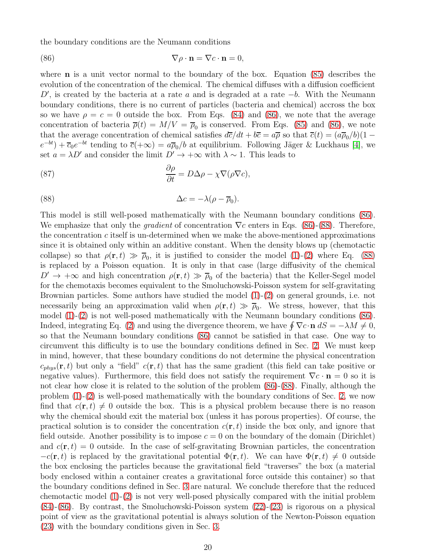the boundary conditions are the Neumann conditions

<span id="page-19-0"></span>(86) 
$$
\nabla \rho \cdot \mathbf{n} = \nabla c \cdot \mathbf{n} = 0,
$$

where **n** is a unit vector normal to the boundary of the box. Equation [\(85\)](#page-18-1) describes the evolution of the concentration of the chemical. The chemical diffuses with a diffusion coefficient  $D'$ , is created by the bacteria at a rate a and is degraded at a rate  $-b$ . With the Neumann boundary conditions, there is no current of particles (bacteria and chemical) accross the box so we have  $\rho = c = 0$  outside the box. From Eqs. [\(84\)](#page-18-2) and [\(86\)](#page-19-0), we note that the average concentration of bacteria  $\overline{\rho}(t) = M/V = \overline{\rho}_0$  is conserved. From Eqs. [\(85\)](#page-18-1) and [\(86\)](#page-19-0), we note that the average concentration of chemical satisfies  $d\overline{c}/dt + b\overline{c} = a\overline{\rho}$  so that  $\overline{c}(t) = (a\overline{\rho}_0/b)(1 (e^{-bt}) + \overline{c}_0 e^{-bt}$  tending to  $\overline{c}(+\infty) = a\overline{\rho}_0/b$  at equilibrium. Following Jäger & Luckhaus [\[4\]](#page-23-3), we set  $a = \lambda D'$  and consider the limit  $D' \to +\infty$  with  $\lambda \sim 1$ . This leads to

(87) 
$$
\frac{\partial \rho}{\partial t} = D\Delta \rho - \chi \nabla (\rho \nabla c),
$$

<span id="page-19-1"></span>(88) 
$$
\Delta c = -\lambda(\rho - \overline{\rho}_0).
$$

This model is still well-posed mathematically with the Neumann boundary conditions [\(86\)](#page-19-0). We emphasize that only the *gradient* of concentration  $\nabla c$  enters in Eqs. [\(86\)](#page-19-0)-[\(88\)](#page-19-1). Therefore, the concentration  $c$  itself is un-determined when we make the above-mentioned approximations since it is obtained only within an additive constant. When the density blows up (chemotactic collapse) so that  $\rho(\mathbf{r},t) \gg \overline{\rho}_0$ , it is justified to consider the model [\(1\)](#page-1-1)-[\(2\)](#page-1-2) where Eq. [\(88\)](#page-19-1) is replaced by a Poisson equation. It is only in that case (large diffusivity of the chemical  $D' \rightarrow +\infty$  and high concentration  $\rho(\mathbf{r},t) \gg \overline{\rho}_0$  of the bacteria) that the Keller-Segel model for the chemotaxis becomes equivalent to the Smoluchowski-Poisson system for self-gravitating Brownian particles. Some authors have studied the model [\(1\)](#page-1-1)-[\(2\)](#page-1-2) on general grounds, i.e. not necessarily being an approximation valid when  $\rho(\mathbf{r}, t) \gg \overline{\rho}_0$ . We stress, however, that this model [\(1\)](#page-1-1)-[\(2\)](#page-1-2) is not well-posed mathematically with the Neumann boundary conditions [\(86\)](#page-19-0). Indeed, integrating Eq. [\(2\)](#page-1-2) and using the divergence theorem, we have  $\oint \nabla c \cdot \mathbf{n} dS = -\lambda M \neq 0$ , so that the Neumann boundary conditions [\(86\)](#page-19-0) cannot be satisfied in that case. One way to circumvent this difficulty is to use the boundary conditions defined in Sec. [2.](#page-1-0) We must keep in mind, however, that these boundary conditions do not determine the physical concentration  $c_{phys}(\mathbf{r}, t)$  but only a "field"  $c(\mathbf{r}, t)$  that has the same gradient (this field can take positive or negative values). Furthermore, this field does not satisfy the requirement  $\nabla c \cdot \mathbf{n} = 0$  so it is not clear how close it is related to the solution of the problem  $(86)$ - $(88)$ . Finally, although the problem  $(1)-(2)$  $(1)-(2)$  is well-posed mathematically with the boundary conditions of Sec. [2,](#page-1-0) we now find that  $c(\mathbf{r}, t) \neq 0$  outside the box. This is a physical problem because there is no reason why the chemical should exit the material box (unless it has porous properties). Of course, the practical solution is to consider the concentration  $c(\mathbf{r}, t)$  inside the box only, and ignore that field outside. Another possibility is to impose  $c = 0$  on the boundary of the domain (Dirichlet) and  $c(\mathbf{r}, t) = 0$  outside. In the case of self-gravitating Brownian particles, the concentration  $-c(\mathbf{r}, t)$  is replaced by the gravitational potential  $\Phi(\mathbf{r}, t)$ . We can have  $\Phi(\mathbf{r}, t) \neq 0$  outside the box enclosing the particles because the gravitational field "traverses" the box (a material body enclosed within a container creates a gravitational force outside this container) so that the boundary conditions defined in Sec. [3](#page-4-0) are natural. We conclude therefore that the reduced chemotactic model [\(1\)](#page-1-1)-[\(2\)](#page-1-2) is not very well-posed physically compared with the initial problem [\(84\)](#page-18-2)-[\(86\)](#page-19-0). By contrast, the Smoluchowski-Poisson system [\(22\)](#page-4-1)-[\(23\)](#page-4-2) is rigorous on a physical point of view as the gravitational potential is always solution of the Newton-Poisson equation [\(23\)](#page-4-2) with the boundary conditions given in Sec. [3.](#page-4-0)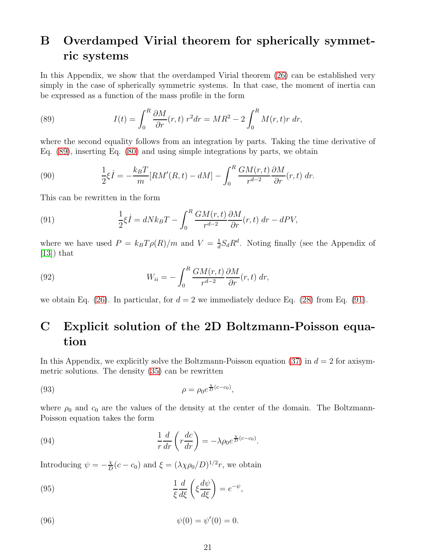## <span id="page-20-0"></span>B Overdamped Virial theorem for spherically symmetric systems

In this Appendix, we show that the overdamped Virial theorem [\(26\)](#page-5-4) can be established very simply in the case of spherically symmetric systems. In that case, the moment of inertia can be expressed as a function of the mass profile in the form

<span id="page-20-2"></span>(89) 
$$
I(t) = \int_0^R \frac{\partial M}{\partial r}(r, t) r^2 dr = MR^2 - 2 \int_0^R M(r, t) r dr,
$$

where the second equality follows from an integration by parts. Taking the time derivative of Eq. [\(89\)](#page-20-2), inserting Eq. [\(80\)](#page-14-0) and using simple integrations by parts, we obtain

(90) 
$$
\frac{1}{2}\xi \dot{I} = -\frac{k_B T}{m}[RM'(R,t) - dM] - \int_0^R \frac{GM(r,t)}{r^{d-2}}\frac{\partial M}{\partial r}(r,t) dr.
$$

This can be rewritten in the form

<span id="page-20-3"></span>(91) 
$$
\frac{1}{2}\xi \dot{I} = dNk_BT - \int_0^R \frac{GM(r,t)}{r^{d-2}}\frac{\partial M}{\partial r}(r,t) dr - dPV,
$$

where we have used  $P = k_B T \rho(R)/m$  and  $V = \frac{1}{d}$  $\frac{1}{d}S_dR^d$ . Noting finally (see the Appendix of  $[13]$ ) that

(92) 
$$
W_{ii} = -\int_0^R \frac{GM(r,t)}{r^{d-2}} \frac{\partial M}{\partial r}(r,t) dr,
$$

we obtain Eq. [\(26\)](#page-5-4). In particular, for  $d = 2$  we immediately deduce Eq. [\(28\)](#page-5-1) from Eq. [\(91\)](#page-20-3).

## <span id="page-20-1"></span>C Explicit solution of the 2D Boltzmann-Poisson equation

In this Appendix, we explicitly solve the Boltzmann-Poisson equation [\(37\)](#page-6-3) in  $d = 2$  for axisymmetric solutions. The density [\(35\)](#page-6-2) can be rewritten

<span id="page-20-6"></span>(93) 
$$
\rho = \rho_0 e^{\frac{\chi}{D}(c-c_0)},
$$

where  $\rho_0$  and  $c_0$  are the values of the density at the center of the domain. The Boltzmann-Poisson equation takes the form

(94) 
$$
\frac{1}{r}\frac{d}{dr}\left(r\frac{dc}{dr}\right) = -\lambda\rho_0 e^{\frac{\chi}{D}(c-c_0)}.
$$

Introducing  $\psi = -\frac{\chi}{D}$  $\frac{\chi}{D}(c-c_0)$  and  $\xi = (\lambda \chi \rho_0/D)^{1/2}r$ , we obtain

<span id="page-20-4"></span>(95) 
$$
\frac{1}{\xi} \frac{d}{d\xi} \left( \xi \frac{d\psi}{d\xi} \right) = e^{-\psi},
$$

<span id="page-20-5"></span>(96) 
$$
\psi(0) = \psi'(0) = 0.
$$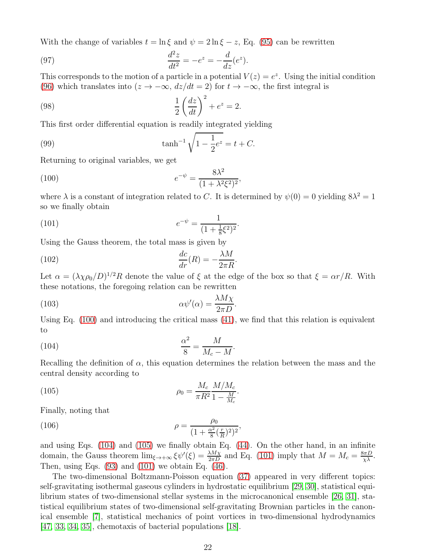With the change of variables  $t = \ln \xi$  and  $\psi = 2 \ln \xi - z$ , Eq. [\(95\)](#page-20-4) can be rewritten

(97) 
$$
\frac{d^2z}{dt^2} = -e^z = -\frac{d}{dz}(e^z).
$$

This corresponds to the motion of a particle in a potential  $V(z) = e^z$ . Using the initial condition [\(96\)](#page-20-5) which translates into  $(z \to -\infty, dz/dt = 2)$  for  $t \to -\infty$ , the first integral is

(98) 
$$
\frac{1}{2} \left( \frac{dz}{dt} \right)^2 + e^z = 2.
$$

This first order differential equation is readily integrated yielding

(99) 
$$
\tanh^{-1}\sqrt{1-\frac{1}{2}e^z} = t + C.
$$

Returning to original variables, we get

(100) 
$$
e^{-\psi} = \frac{8\lambda^2}{(1 + \lambda^2 \xi^2)^2},
$$

where  $\lambda$  is a constant of integration related to C. It is determined by  $\psi(0) = 0$  yielding  $8\lambda^2 = 1$ so we finally obtain

<span id="page-21-3"></span><span id="page-21-1"></span><span id="page-21-0"></span>.

(101) 
$$
e^{-\psi} = \frac{1}{(1 + \frac{1}{8}\xi^2)^2}
$$

Using the Gauss theorem, the total mass is given by

(102) 
$$
\frac{dc}{dr}(R) = -\frac{\lambda M}{2\pi R}.
$$

Let  $\alpha = (\lambda \chi \rho_0 / D)^{1/2} R$  denote the value of  $\xi$  at the edge of the box so that  $\xi = \alpha r / R$ . With these notations, the foregoing relation can be rewritten

(103) 
$$
\alpha \psi'(\alpha) = \frac{\lambda M \chi}{2 \pi D}.
$$

Using Eq. [\(100\)](#page-21-0) and introducing the critical mass [\(41\)](#page-7-3), we find that this relation is equivalent to

$$
\frac{\alpha^2}{8} = \frac{M}{M_c - M}.
$$

Recalling the definition of  $\alpha$ , this equation determines the relation between the mass and the central density according to

<span id="page-21-2"></span>(105) 
$$
\rho_0 = \frac{M_c}{\pi R^2} \frac{M/M_c}{1 - \frac{M}{M_c}}.
$$

Finally, noting that

(106) 
$$
\rho = \frac{\rho_0}{(1 + \frac{\alpha^2}{8}(\frac{r}{R})^2)^2},
$$

and using Eqs. [\(104\)](#page-21-1) and [\(105\)](#page-21-2) we finally obtain Eq. [\(44\)](#page-7-2). On the other hand, in an infinite domain, the Gauss theorem  $\lim_{\xi \to +\infty} \xi \psi'(\xi) = \frac{\lambda M_X}{2\pi D}$  and Eq. [\(101\)](#page-21-3) imply that  $M = M_c = \frac{8\pi D}{\chi \lambda}$ . Then, using Eqs.  $(93)$  and  $(101)$  we obtain Eq.  $(46)$ .

The two-dimensional Boltzmann-Poisson equation [\(37\)](#page-6-3) appeared in very different topics: self-gravitating isothermal gaseous cylinders in hydrostatic equilibrium [\[29,](#page-24-0) [30\]](#page-24-1), statistical equilibrium states of two-dimensional stellar systems in the microcanonical ensemble [\[26,](#page-23-25) [31\]](#page-24-2), statistical equilibrium states of two-dimensional self-gravitating Brownian particles in the canonical ensemble [\[7\]](#page-23-6), statistical mechanics of point vortices in two-dimensional hydrodynamics [\[47,](#page-24-18) [33,](#page-24-4) [34,](#page-24-5) [35\]](#page-24-6), chemotaxis of bacterial populations [\[18\]](#page-23-17).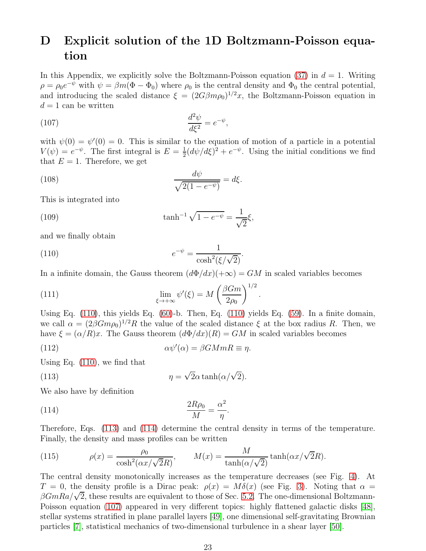## <span id="page-22-0"></span>D Explicit solution of the 1D Boltzmann-Poisson equation

In this Appendix, we explicitly solve the Boltzmann-Poisson equation [\(37\)](#page-6-3) in  $d = 1$ . Writing  $\rho = \rho_0 e^{-\psi}$  with  $\psi = \beta m(\Phi - \Phi_0)$  where  $\rho_0$  is the central density and  $\Phi_0$  the central potential, and introducing the scaled distance  $\xi = (2G\beta m\rho_0)^{1/2}x$ , the Boltzmann-Poisson equation in  $d = 1$  can be written

<span id="page-22-4"></span>
$$
\frac{d^2\psi}{d\xi^2} = e^{-\psi},
$$

with  $\psi(0) = \psi'(0) = 0$ . This is similar to the equation of motion of a particle in a potential  $V(\psi) = e^{-\psi}$ . The first integral is  $E = \frac{1}{2}$  $\frac{1}{2}(d\psi/d\xi)^2 + e^{-\psi}$ . Using the initial conditions we find that  $E = 1$ . Therefore, we get

(108) 
$$
\frac{d\psi}{\sqrt{2(1-e^{-\psi})}} = d\xi.
$$

This is integrated into

(109) 
$$
\tanh^{-1}\sqrt{1-e^{-\psi}}=\frac{1}{\sqrt{2}}\xi,
$$

and we finally obtain

<span id="page-22-1"></span>(110) 
$$
e^{-\psi} = \frac{1}{\cosh^2(\xi/\sqrt{2})}.
$$

In a infinite domain, the Gauss theorem  $(d\Phi/dx)(+\infty) = GM$  in scaled variables becomes

(111) 
$$
\lim_{\xi \to +\infty} \psi'(\xi) = M \left( \frac{\beta G m}{2\rho_0} \right)^{1/2}.
$$

Using Eq. [\(110\)](#page-22-1), this yields Eq. [\(60\)](#page-10-3)-b. Then, Eq. [\(110\)](#page-22-1) yields Eq. [\(59\)](#page-10-2). In a finite domain, we call  $\alpha = (2\beta G m \rho_0)^{1/2} R$  the value of the scaled distance  $\xi$  at the box radius R. Then, we have  $\xi = (\alpha/R)x$ . The Gauss theorem  $(d\Phi/dx)(R) = GM$  in scaled variables becomes

(112) 
$$
\alpha \psi'(\alpha) = \beta G M m R \equiv \eta.
$$

Using Eq. [\(110\)](#page-22-1), we find that

<span id="page-22-2"></span>(113) 
$$
\eta = \sqrt{2}\alpha \tanh(\alpha/\sqrt{2}).
$$

We also have by definition

<span id="page-22-3"></span>(114) 
$$
\frac{2R\rho_0}{M} = \frac{\alpha^2}{\eta}.
$$

Therefore, Eqs. [\(113\)](#page-22-2) and [\(114\)](#page-22-3) determine the central density in terms of the temperature. Finally, the density and mass profiles can be written

(115) 
$$
\rho(x) = \frac{\rho_0}{\cosh^2(\alpha x/\sqrt{2}R)}, \qquad M(x) = \frac{M}{\tanh(\alpha/\sqrt{2})}\tanh(\alpha x/\sqrt{2}R).
$$

The central density monotonically increases as the temperature decreases (see Fig. [4\)](#page-13-0). At  $T = 0$ , the density profile is a Dirac peak:  $\rho(x) = M\delta(x)$  (see Fig. [3\)](#page-12-0). Noting that  $\alpha =$  $\beta GmRa/\sqrt{2}$ , these results are equivalent to those of Sec. [5.2.](#page-11-0) The one-dimensional Boltzmann-Poisson equation [\(107\)](#page-22-4) appeared in very different topics: highly flattened galactic disks [\[48\]](#page-24-19), stellar systems stratified in plane parallel layers [\[49\]](#page-24-20), one dimensional self-gravitating Brownian particles [\[7\]](#page-23-6), statistical mechanics of two-dimensional turbulence in a shear layer [\[50\]](#page-24-21).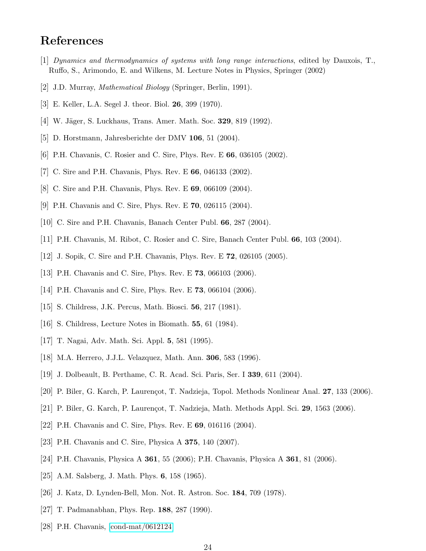## <span id="page-23-0"></span>References

- <span id="page-23-1"></span>[1] Dynamics and thermodynamics of systems with long range interactions, edited by Dauxois, T., Ruffo, S., Arimondo, E. and Wilkens, M. Lecture Notes in Physics, Springer (2002)
- <span id="page-23-2"></span>[2] J.D. Murray, Mathematical Biology (Springer, Berlin, 1991).
- <span id="page-23-3"></span>[3] E. Keller, L.A. Segel J. theor. Biol. 26, 399 (1970).
- <span id="page-23-4"></span>[4] W. Jäger, S. Luckhaus, Trans. Amer. Math. Soc. **329**, 819 (1992).
- <span id="page-23-5"></span>[5] D. Horstmann, Jahresberichte der DMV 106, 51 (2004).
- <span id="page-23-6"></span>[6] P.H. Chavanis, C. Rosier and C. Sire, Phys. Rev. E 66, 036105 (2002).
- <span id="page-23-7"></span>[7] C. Sire and P.H. Chavanis, Phys. Rev. E 66, 046133 (2002).
- <span id="page-23-8"></span>[8] C. Sire and P.H. Chavanis, Phys. Rev. E 69, 066109 (2004).
- <span id="page-23-9"></span>[9] P.H. Chavanis and C. Sire, Phys. Rev. E 70, 026115 (2004).
- <span id="page-23-10"></span>[10] C. Sire and P.H. Chavanis, Banach Center Publ. 66, 287 (2004).
- <span id="page-23-11"></span>[11] P.H. Chavanis, M. Ribot, C. Rosier and C. Sire, Banach Center Publ. 66, 103 (2004).
- <span id="page-23-12"></span>[12] J. Sopik, C. Sire and P.H. Chavanis, Phys. Rev. E 72, 026105 (2005).
- <span id="page-23-13"></span>[13] P.H. Chavanis and C. Sire, Phys. Rev. E 73, 066103 (2006).
- <span id="page-23-14"></span>[14] P.H. Chavanis and C. Sire, Phys. Rev. E **73**, 066104 (2006).
- <span id="page-23-15"></span>[15] S. Childress, J.K. Percus, Math. Biosci. 56, 217 (1981).
- <span id="page-23-16"></span>[16] S. Childress, Lecture Notes in Biomath. 55, 61 (1984).
- <span id="page-23-17"></span>[17] T. Nagai, Adv. Math. Sci. Appl. 5, 581 (1995).
- <span id="page-23-19"></span>[18] M.A. Herrero, J.J.L. Velazquez, Math. Ann. 306, 583 (1996).
- <span id="page-23-18"></span>[19] J. Dolbeault, B. Perthame, C. R. Acad. Sci. Paris, Ser. I 339, 611 (2004).
- <span id="page-23-20"></span>[20] P. Biler, G. Karch, P. Laurençot, T. Nadzieja, Topol. Methods Nonlinear Anal. 27, 133 (2006).
- <span id="page-23-21"></span>[21] P. Biler, G. Karch, P. Laurençot, T. Nadzieja, Math. Methods Appl. Sci. 29, 1563 (2006).
- <span id="page-23-22"></span>[22] P.H. Chavanis and C. Sire, Phys. Rev. E 69, 016116 (2004).
- <span id="page-23-23"></span>[23] P.H. Chavanis and C. Sire, Physica A 375, 140 (2007).
- <span id="page-23-24"></span>[24] P.H. Chavanis, Physica A 361, 55 (2006); P.H. Chavanis, Physica A 361, 81 (2006).
- <span id="page-23-25"></span>[25] A.M. Salsberg, J. Math. Phys. 6, 158 (1965).
- <span id="page-23-26"></span>[26] J. Katz, D. Lynden-Bell, Mon. Not. R. Astron. Soc. 184, 709 (1978).
- <span id="page-23-27"></span>[27] T. Padmanabhan, Phys. Rep. 188, 287 (1990).
- [28] P.H. Chavanis, [\[cond-mat/0612124\]](http://arxiv.org/abs/cond-mat/0612124)